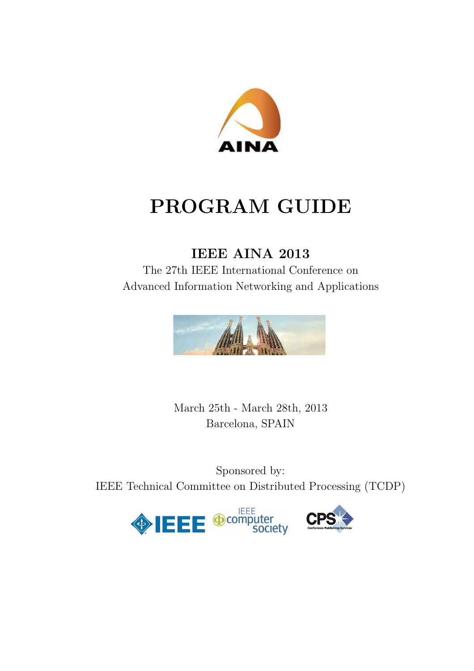

# PROGRAM GUIDE

# IEEE AINA 2013

The 27th IEEE International Conference on Advanced Information Networking and Applications



March 25th - March 28th, 2013 Barcelona, SPAIN

Sponsored by: IEEE Technical Committee on Distributed Processing (TCDP)

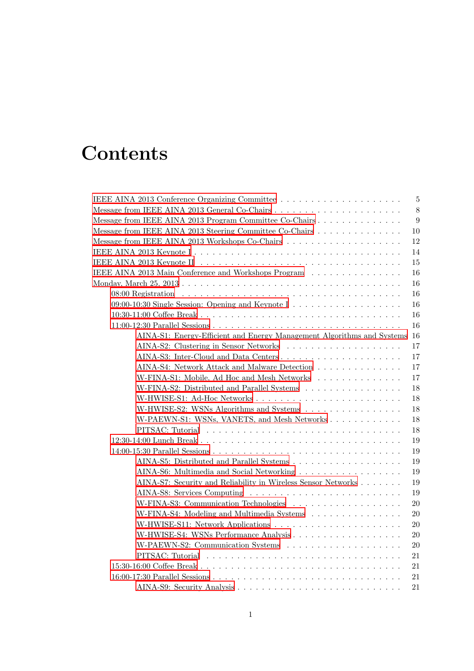# **Contents**

| IEEE AINA 2013 Conference Organizing Committee                                                               | $\sqrt{5}$     |
|--------------------------------------------------------------------------------------------------------------|----------------|
|                                                                                                              | $8\,$          |
| Message from IEEE AINA 2013 Program Committee Co-Chairs                                                      | $9\phantom{.}$ |
| Message from IEEE AINA 2013 Steering Committee Co-Chairs                                                     | $10\,$         |
|                                                                                                              | 12             |
|                                                                                                              | 14             |
| IEEE AINA 2013 Keynote II $\dots\dots\dots\dots\dots\dots\dots\dots\dots\dots\dots\dots\dots\dots\dots\dots$ | 15             |
| IEEE AINA 2013 Main Conference and Workshops Program                                                         | 16             |
|                                                                                                              | 16             |
|                                                                                                              | 16             |
|                                                                                                              | $16\,$         |
|                                                                                                              | 16             |
|                                                                                                              | 16             |
| AINA-S1: Energy-Efficient and Energy Management Algorithms and Systems                                       | 16             |
|                                                                                                              | 17             |
| AINA-S3: Inter-Cloud and Data Centers                                                                        | 17             |
| AINA-S4: Network Attack and Malware Detection                                                                | 17             |
| W-FINA-S1: Mobile, Ad Hoc and Mesh Networks                                                                  | 17             |
| W-FINA-S2: Distributed and Parallel Systems                                                                  | 18             |
|                                                                                                              | 18             |
| W-HWISE-S2: WSNs Algorithms and Systems                                                                      | 18             |
| W-PAEWN-S1: WSNs, VANETS, and Mesh Networks                                                                  | 18             |
|                                                                                                              | 18             |
|                                                                                                              | 19             |
|                                                                                                              | 19             |
|                                                                                                              | 19             |
| AINA-S6: Multimedia and Social Networking                                                                    | 19             |
| AINA-S7: Security and Reliability in Wireless Sensor Networks                                                | 19             |
|                                                                                                              | 19             |
|                                                                                                              | 20             |
| W-FINA-S4: Modeling and Multimedia Systems                                                                   | 20             |
|                                                                                                              | $20\,$         |
|                                                                                                              | 20             |
|                                                                                                              | $20\,$         |
|                                                                                                              | 21             |
|                                                                                                              | 21             |
|                                                                                                              | 21             |
|                                                                                                              | 21             |
|                                                                                                              |                |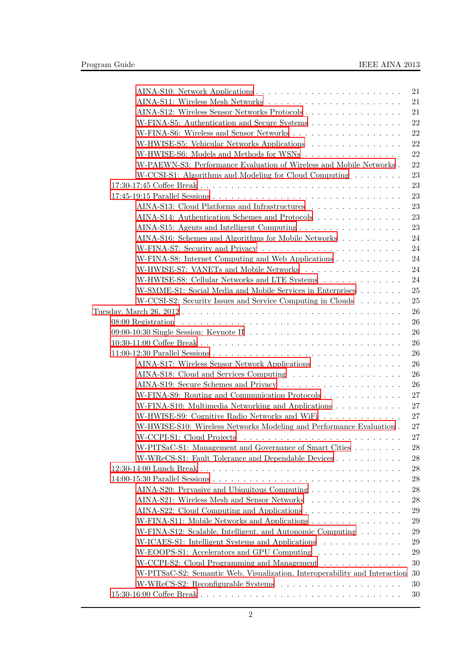|                                                                            | 21     |
|----------------------------------------------------------------------------|--------|
|                                                                            | 21     |
| AINA-S12: Wireless Sensor Networks Protocols                               | 21     |
|                                                                            | 22     |
|                                                                            | 22     |
| W-HWISE-S5: Vehicular Networks Applications                                | 22     |
| W-HWISE-S6: Models and Methods for WSNs                                    | 22     |
| W-PAEWN-S3: Performance Evaluation of Wireless and Mobile Networks.        | 22     |
| W-CCSI-S1: Algorithms and Modeling for Cloud Computing                     | 23     |
|                                                                            | 23     |
|                                                                            | 23     |
| AINA-S13: Cloud Platforms and Infrastructures                              | 23     |
| AINA-S14: Authentication Schemes and Protocols                             | 23     |
| AINA-S15: Agents and Intelligent Computing                                 | 23     |
| AINA-S16: Schemes and Algorithms for Mobile Networks                       | 24     |
|                                                                            | 24     |
| W-FINA-S8: Internet Computing and Web Applications                         | 24     |
| W-HWISE-S7: VANETs and Mobile Networks                                     | 24     |
| W-HWISE-S8: Cellular Networks and LTE Systems                              | 24     |
| W-SMME-S1: Social Media and Mobile Services in Enterprises                 | 25     |
| W-CCSI-S2: Security Issues and Service Computing in Clouds                 | 25     |
|                                                                            | 26     |
|                                                                            | 26     |
|                                                                            | 26     |
|                                                                            | $26\,$ |
|                                                                            | $26\,$ |
| AINA-S17: Wireless Sensor Network Applications                             | 26     |
|                                                                            | 26     |
|                                                                            | 26     |
| W-FINA-S9: Routing and Communication Protocols                             | 27     |
| W-FINA-S10: Multimedia Networking and Applications                         | $27\,$ |
| W-HWISE-S9: Cognitive Radio Networks and WiFi                              | 27     |
| W-HWISE-S10: Wireless Networks Modeling and Performance Evaluation.        | 27     |
|                                                                            | $27\,$ |
| W-PITSaC-S1: Management and Governance of Smart Cities                     | 28     |
| W-WReCS-S1: Fault Tolerance and Dependable Devices                         | 28     |
|                                                                            | 28     |
|                                                                            | 28     |
| AINA-S20: Pervasive and Ubiquitous Computing                               | 28     |
| AINA-S21: Wireless Mesh and Sensor Networks                                | 28     |
| AINA-S22: Cloud Computing and Applications                                 | 29     |
|                                                                            | 29     |
| W-FINA-S12: Scalable, Intelligent, and Autonomic Computing                 | 29     |
| W-ICAES-S1: Intelligent Systems and Applications                           | 29     |
| W-EOOPS-S1: Accelerators and GPU Computing                                 | 29     |
| W-CCPI-S2: Cloud Programming and Management                                | 30     |
| W-PITSaC-S2: Semantic Web, Visualization, Interoperability and Interaction | 30     |
|                                                                            | $30\,$ |
|                                                                            | 30     |
|                                                                            |        |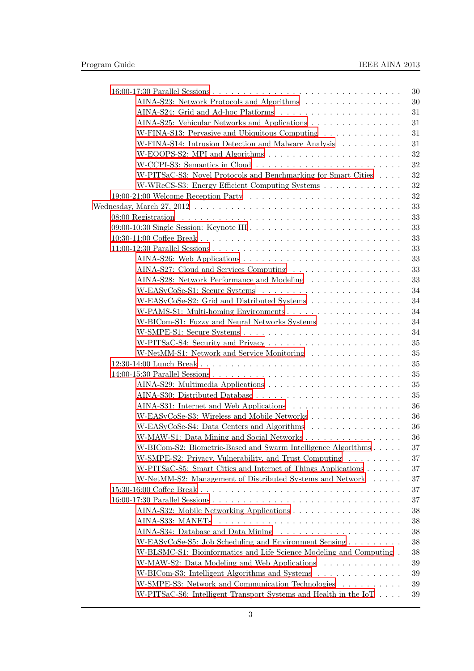|                                                                      | 30     |
|----------------------------------------------------------------------|--------|
| AINA-S23: Network Protocols and Algorithms                           | 30     |
|                                                                      | 31     |
| AINA-S25: Vehicular Networks and Applications                        | 31     |
| W-FINA-S13: Pervasive and Ubiquitous Computing                       | 31     |
| W-FINA-S14: Intrusion Detection and Malware Analysis                 | 31     |
|                                                                      | 32     |
|                                                                      | 32     |
| W-PITSaC-S3: Novel Protocols and Benchmarking for Smart Cities       | 32     |
| W-WReCS-S3: Energy Efficient Computing Systems                       | 32     |
|                                                                      | 32     |
|                                                                      | 33     |
|                                                                      | 33     |
|                                                                      | 33     |
|                                                                      | 33     |
|                                                                      | 33     |
|                                                                      | 33     |
|                                                                      | 33     |
| AINA-S28: Network Performance and Modeling                           | 33     |
|                                                                      | 34     |
| W-EASyCoSe-S2: Grid and Distributed Systems                          | 34     |
|                                                                      | 34     |
| W-BICom-S1: Fuzzy and Neural Networks Systems                        | 34     |
|                                                                      | 34     |
|                                                                      | 35     |
| W-NetMM-S1: Network and Service Monitoring                           | 35     |
|                                                                      | 35     |
|                                                                      | 35     |
|                                                                      | 35     |
|                                                                      | 35     |
|                                                                      | 36     |
|                                                                      | 36     |
| W-EASyCoSe-S4: Data Centers and Algorithms                           | 36     |
| W-MAW-S1: Data Mining and Social Networks                            | 36     |
| W-BICom-S2: Biometric-Based and Swarm Intelligence Algorithms        | 37     |
| W-SMPE-S2: Privacy, Vulnerability, and Trust Computing               | 37     |
| W-PITSaC-S5: Smart Cities and Internet of Things Applications        | 37     |
| W-NetMM-S2: Management of Distributed Systems and Network            | 37     |
|                                                                      | 37     |
|                                                                      | 37     |
|                                                                      | 38     |
| AINA-S33: MANETs                                                     | $38\,$ |
|                                                                      | $38\,$ |
| W-EASyCoSe-S5: Job Scheduling and Environment Sensing                | 38     |
| W-BLSMC-S1: Bioinformatics and Life Science Modeling and Computing . | 38     |
| W-MAW-S2: Data Modeling and Web Applications                         | 39     |
| W-BICom-S3: Intelligent Algorithms and Systems                       | 39     |
|                                                                      |        |
| W-SMPE-S3: Network and Communication Technologies                    | 39     |
| W-PITSaC-S6: Intelligent Transport Systems and Health in the IoT     | 39     |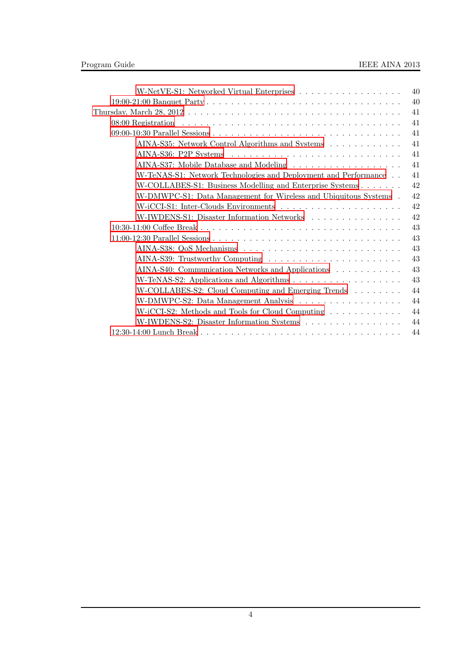| W-NetVE-S1: Networked Virtual Enterprises                        | 40 |
|------------------------------------------------------------------|----|
|                                                                  | 40 |
|                                                                  | 41 |
|                                                                  | 41 |
|                                                                  | 41 |
| AINA-S35: Network Control Algorithms and Systems                 | 41 |
|                                                                  | 41 |
|                                                                  | 41 |
| W-TeNAS-S1: Network Technologies and Deployment and Performance  | 41 |
| W-COLLABES-S1: Business Modelling and Enterprise Systems         | 42 |
| W-DMWPC-S1: Data Management for Wireless and Ubiquitous Systems. | 42 |
|                                                                  | 42 |
| W-IWDENS-S1: Disaster Information Networks                       | 42 |
|                                                                  | 43 |
|                                                                  | 43 |
|                                                                  | 43 |
|                                                                  | 43 |
| AINA-S40: Communication Networks and Applications                | 43 |
|                                                                  | 43 |
| W-COLLABES-S2: Cloud Computing and Emerging Trends               | 44 |
| W-DMWPC-S2: Data Management Analysis                             | 44 |
| W-iCCI-S2: Methods and Tools for Cloud Computing                 | 44 |
| W-IWDENS-S2: Disaster Information Systems                        | 44 |
|                                                                  | 44 |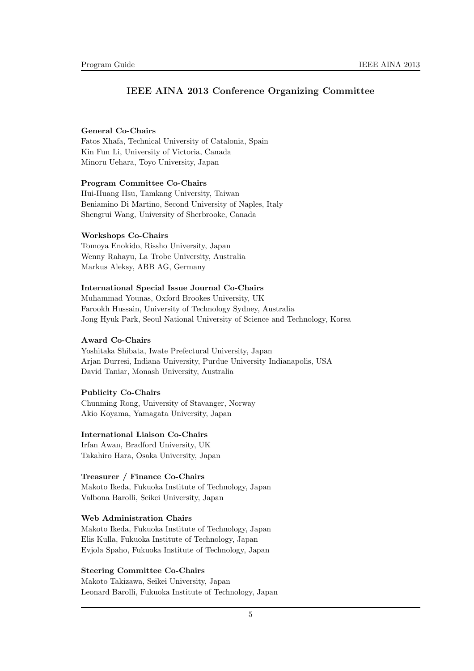# IEEE AINA 2013 Conference Organizing Committee

# <span id="page-5-0"></span>General Co-Chairs

Fatos Xhafa, Technical University of Catalonia, Spain Kin Fun Li, University of Victoria, Canada Minoru Uehara, Toyo University, Japan

#### Program Committee Co-Chairs

Hui-Huang Hsu, Tamkang University, Taiwan Beniamino Di Martino, Second University of Naples, Italy Shengrui Wang, University of Sherbrooke, Canada

#### Workshops Co-Chairs

Tomoya Enokido, Rissho University, Japan Wenny Rahayu, La Trobe University, Australia Markus Aleksy, ABB AG, Germany

#### International Special Issue Journal Co-Chairs

Muhammad Younas, Oxford Brookes University, UK Farookh Hussain, University of Technology Sydney, Australia Jong Hyuk Park, Seoul National University of Science and Technology, Korea

#### Award Co-Chairs

Yoshitaka Shibata, Iwate Prefectural University, Japan Arjan Durresi, Indiana University, Purdue University Indianapolis, USA David Taniar, Monash University, Australia

#### Publicity Co-Chairs

Chunming Rong, University of Stavanger, Norway Akio Koyama, Yamagata University, Japan

# International Liaison Co-Chairs

Irfan Awan, Bradford University, UK Takahiro Hara, Osaka University, Japan

# Treasurer / Finance Co-Chairs

Makoto Ikeda, Fukuoka Institute of Technology, Japan Valbona Barolli, Seikei University, Japan

#### Web Administration Chairs

Makoto Ikeda, Fukuoka Institute of Technology, Japan Elis Kulla, Fukuoka Institute of Technology, Japan Evjola Spaho, Fukuoka Institute of Technology, Japan

#### Steering Committee Co-Chairs

Makoto Takizawa, Seikei University, Japan Leonard Barolli, Fukuoka Institute of Technology, Japan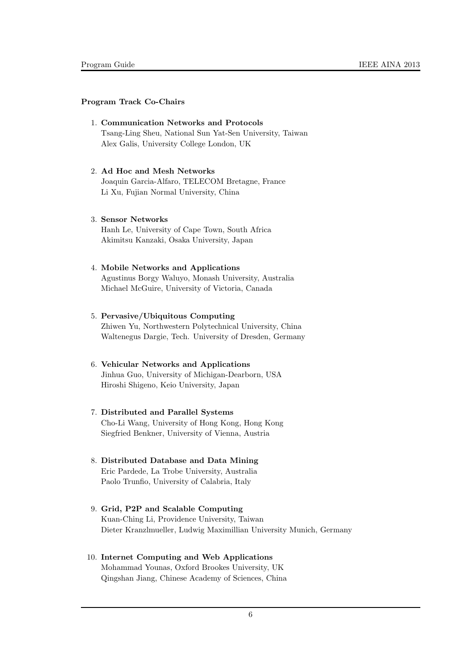#### Program Track Co-Chairs

- 1. Communication Networks and Protocols Tsang-Ling Sheu, National Sun Yat-Sen University, Taiwan Alex Galis, University College London, UK
- 2. Ad Hoc and Mesh Networks Joaquin Garcia-Alfaro, TELECOM Bretagne, France Li Xu, Fujian Normal University, China

#### 3. Sensor Networks

Hanh Le, University of Cape Town, South Africa Akimitsu Kanzaki, Osaka University, Japan

4. Mobile Networks and Applications

Agustinus Borgy Waluyo, Monash University, Australia Michael McGuire, University of Victoria, Canada

- 5. Pervasive/Ubiquitous Computing Zhiwen Yu, Northwestern Polytechnical University, China Waltenegus Dargie, Tech. University of Dresden, Germany
- 6. Vehicular Networks and Applications Jinhua Guo, University of Michigan-Dearborn, USA Hiroshi Shigeno, Keio University, Japan
- 7. Distributed and Parallel Systems Cho-Li Wang, University of Hong Kong, Hong Kong Siegfried Benkner, University of Vienna, Austria
- 8. Distributed Database and Data Mining Eric Pardede, La Trobe University, Australia Paolo Trunfio, University of Calabria, Italy
- 9. Grid, P2P and Scalable Computing Kuan-Ching Li, Providence University, Taiwan Dieter Kranzlmueller, Ludwig Maximillian University Munich, Germany
- 10. Internet Computing and Web Applications Mohammad Younas, Oxford Brookes University, UK Qingshan Jiang, Chinese Academy of Sciences, China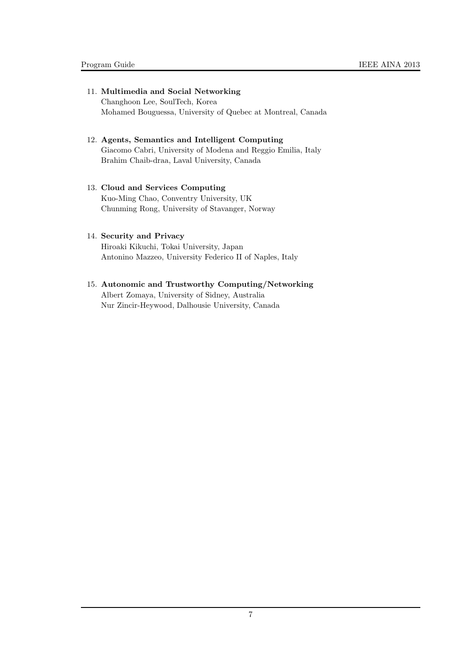- 11. Multimedia and Social Networking Changhoon Lee, SoulTech, Korea Mohamed Bouguessa, University of Quebec at Montreal, Canada
- 12. Agents, Semantics and Intelligent Computing Giacomo Cabri, University of Modena and Reggio Emilia, Italy Brahim Chaib-draa, Laval University, Canada
- 13. Cloud and Services Computing Kuo-Ming Chao, Conventry University, UK Chunming Rong, University of Stavanger, Norway

# 14. Security and Privacy

Hiroaki Kikuchi, Tokai University, Japan Antonino Mazzeo, University Federico II of Naples, Italy

15. Autonomic and Trustworthy Computing/Networking Albert Zomaya, University of Sidney, Australia Nur Zincir-Heywood, Dalhousie University, Canada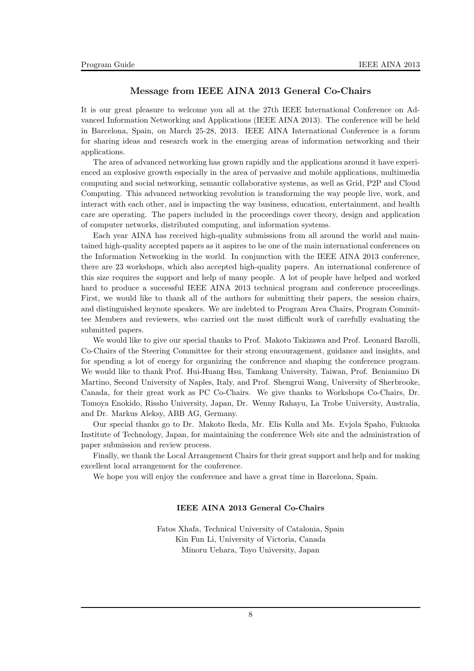### Message from IEEE AINA 2013 General Co-Chairs

<span id="page-8-0"></span>It is our great pleasure to welcome you all at the 27th IEEE International Conference on Advanced Information Networking and Applications (IEEE AINA 2013). The conference will be held in Barcelona, Spain, on March 25-28, 2013. IEEE AINA International Conference is a forum for sharing ideas and research work in the emerging areas of information networking and their applications.

The area of advanced networking has grown rapidly and the applications around it have experienced an explosive growth especially in the area of pervasive and mobile applications, multimedia computing and social networking, semantic collaborative systems, as well as Grid, P2P and Cloud Computing. This advanced networking revolution is transforming the way people live, work, and interact with each other, and is impacting the way business, education, entertainment, and health care are operating. The papers included in the proceedings cover theory, design and application of computer networks, distributed computing, and information systems.

Each year AINA has received high-quality submissions from all around the world and maintained high-quality accepted papers as it aspires to be one of the main international conferences on the Information Networking in the world. In conjunction with the IEEE AINA 2013 conference, there are 23 workshops, which also accepted high-quality papers. An international conference of this size requires the support and help of many people. A lot of people have helped and worked hard to produce a successful IEEE AINA 2013 technical program and conference proceedings. First, we would like to thank all of the authors for submitting their papers, the session chairs, and distinguished keynote speakers. We are indebted to Program Area Chairs, Program Committee Members and reviewers, who carried out the most difficult work of carefully evaluating the submitted papers.

We would like to give our special thanks to Prof. Makoto Takizawa and Prof. Leonard Barolli, Co-Chairs of the Steering Committee for their strong encouragement, guidance and insights, and for spending a lot of energy for organizing the conference and shaping the conference program. We would like to thank Prof. Hui-Huang Hsu, Tamkang University, Taiwan, Prof. Beniamino Di Martino, Second University of Naples, Italy, and Prof. Shengrui Wang, University of Sherbrooke, Canada, for their great work as PC Co-Chairs. We give thanks to Workshops Co-Chairs, Dr. Tomoya Enokido, Rissho University, Japan, Dr. Wenny Rahayu, La Trobe University, Australia, and Dr. Markus Aleksy, ABB AG, Germany.

Our special thanks go to Dr. Makoto Ikeda, Mr. Elis Kulla and Ms. Evjola Spaho, Fukuoka Institute of Technology, Japan, for maintaining the conference Web site and the administration of paper submission and review process.

Finally, we thank the Local Arrangement Chairs for their great support and help and for making excellent local arrangement for the conference.

We hope you will enjoy the conference and have a great time in Barcelona, Spain.

#### IEEE AINA 2013 General Co-Chairs

Fatos Xhafa, Technical University of Catalonia, Spain Kin Fun Li, University of Victoria, Canada Minoru Uehara, Toyo University, Japan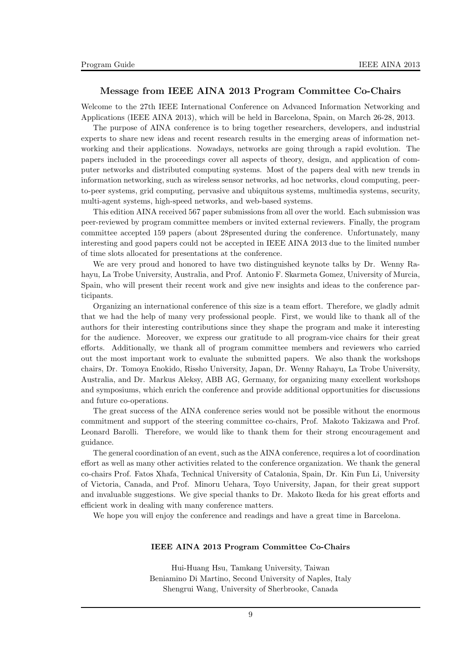#### Message from IEEE AINA 2013 Program Committee Co-Chairs

<span id="page-9-0"></span>Welcome to the 27th IEEE International Conference on Advanced Information Networking and Applications (IEEE AINA 2013), which will be held in Barcelona, Spain, on March 26-28, 2013.

The purpose of AINA conference is to bring together researchers, developers, and industrial experts to share new ideas and recent research results in the emerging areas of information networking and their applications. Nowadays, networks are going through a rapid evolution. The papers included in the proceedings cover all aspects of theory, design, and application of computer networks and distributed computing systems. Most of the papers deal with new trends in information networking, such as wireless sensor networks, ad hoc networks, cloud computing, peerto-peer systems, grid computing, pervasive and ubiquitous systems, multimedia systems, security, multi-agent systems, high-speed networks, and web-based systems.

This edition AINA received 567 paper submissions from all over the world. Each submission was peer-reviewed by program committee members or invited external reviewers. Finally, the program committee accepted 159 papers (about 28presented during the conference. Unfortunately, many interesting and good papers could not be accepted in IEEE AINA 2013 due to the limited number of time slots allocated for presentations at the conference.

We are very proud and honored to have two distinguished keynote talks by Dr. Wenny Rahayu, La Trobe University, Australia, and Prof. Antonio F. Skarmeta Gomez, University of Murcia, Spain, who will present their recent work and give new insights and ideas to the conference participants.

Organizing an international conference of this size is a team effort. Therefore, we gladly admit that we had the help of many very professional people. First, we would like to thank all of the authors for their interesting contributions since they shape the program and make it interesting for the audience. Moreover, we express our gratitude to all program-vice chairs for their great efforts. Additionally, we thank all of program committee members and reviewers who carried out the most important work to evaluate the submitted papers. We also thank the workshops chairs, Dr. Tomoya Enokido, Rissho University, Japan, Dr. Wenny Rahayu, La Trobe University, Australia, and Dr. Markus Aleksy, ABB AG, Germany, for organizing many excellent workshops and symposiums, which enrich the conference and provide additional opportunities for discussions and future co-operations.

The great success of the AINA conference series would not be possible without the enormous commitment and support of the steering committee co-chairs, Prof. Makoto Takizawa and Prof. Leonard Barolli. Therefore, we would like to thank them for their strong encouragement and guidance.

The general coordination of an event, such as the AINA conference, requires a lot of coordination effort as well as many other activities related to the conference organization. We thank the general co-chairs Prof. Fatos Xhafa, Technical University of Catalonia, Spain, Dr. Kin Fun Li, University of Victoria, Canada, and Prof. Minoru Uehara, Toyo University, Japan, for their great support and invaluable suggestions. We give special thanks to Dr. Makoto Ikeda for his great efforts and efficient work in dealing with many conference matters.

We hope you will enjoy the conference and readings and have a great time in Barcelona.

#### IEEE AINA 2013 Program Committee Co-Chairs

Hui-Huang Hsu, Tamkang University, Taiwan Beniamino Di Martino, Second University of Naples, Italy Shengrui Wang, University of Sherbrooke, Canada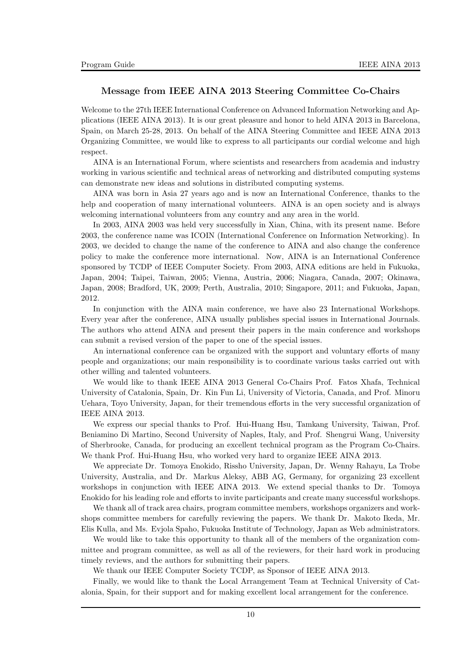## Message from IEEE AINA 2013 Steering Committee Co-Chairs

<span id="page-10-0"></span>Welcome to the 27th IEEE International Conference on Advanced Information Networking and Applications (IEEE AINA 2013). It is our great pleasure and honor to held AINA 2013 in Barcelona, Spain, on March 25-28, 2013. On behalf of the AINA Steering Committee and IEEE AINA 2013 Organizing Committee, we would like to express to all participants our cordial welcome and high respect.

AINA is an International Forum, where scientists and researchers from academia and industry working in various scientific and technical areas of networking and distributed computing systems can demonstrate new ideas and solutions in distributed computing systems.

AINA was born in Asia 27 years ago and is now an International Conference, thanks to the help and cooperation of many international volunteers. AINA is an open society and is always welcoming international volunteers from any country and any area in the world.

In 2003, AINA 2003 was held very successfully in Xian, China, with its present name. Before 2003, the conference name was ICOIN (International Conference on Information Networking). In 2003, we decided to change the name of the conference to AINA and also change the conference policy to make the conference more international. Now, AINA is an International Conference sponsored by TCDP of IEEE Computer Society. From 2003, AINA editions are held in Fukuoka, Japan, 2004; Taipei, Taiwan, 2005; Vienna, Austria, 2006; Niagara, Canada, 2007; Okinawa, Japan, 2008; Bradford, UK, 2009; Perth, Australia, 2010; Singapore, 2011; and Fukuoka, Japan, 2012.

In conjunction with the AINA main conference, we have also 23 International Workshops. Every year after the conference, AINA usually publishes special issues in International Journals. The authors who attend AINA and present their papers in the main conference and workshops can submit a revised version of the paper to one of the special issues.

An international conference can be organized with the support and voluntary efforts of many people and organizations; our main responsibility is to coordinate various tasks carried out with other willing and talented volunteers.

We would like to thank IEEE AINA 2013 General Co-Chairs Prof. Fatos Xhafa, Technical University of Catalonia, Spain, Dr. Kin Fun Li, University of Victoria, Canada, and Prof. Minoru Uehara, Toyo University, Japan, for their tremendous efforts in the very successful organization of IEEE AINA 2013.

We express our special thanks to Prof. Hui-Huang Hsu, Tamkang University, Taiwan, Prof. Beniamino Di Martino, Second University of Naples, Italy, and Prof. Shengrui Wang, University of Sherbrooke, Canada, for producing an excellent technical program as the Program Co-Chairs. We thank Prof. Hui-Huang Hsu, who worked very hard to organize IEEE AINA 2013.

We appreciate Dr. Tomoya Enokido, Rissho University, Japan, Dr. Wenny Rahayu, La Trobe University, Australia, and Dr. Markus Aleksy, ABB AG, Germany, for organizing 23 excellent workshops in conjunction with IEEE AINA 2013. We extend special thanks to Dr. Tomoya Enokido for his leading role and efforts to invite participants and create many successful workshops.

We thank all of track area chairs, program committee members, workshops organizers and workshops committee members for carefully reviewing the papers. We thank Dr. Makoto Ikeda, Mr. Elis Kulla, and Ms. Evjola Spaho, Fukuoka Institute of Technology, Japan as Web administrators.

We would like to take this opportunity to thank all of the members of the organization committee and program committee, as well as all of the reviewers, for their hard work in producing timely reviews, and the authors for submitting their papers.

We thank our IEEE Computer Society TCDP, as Sponsor of IEEE AINA 2013.

Finally, we would like to thank the Local Arrangement Team at Technical University of Catalonia, Spain, for their support and for making excellent local arrangement for the conference.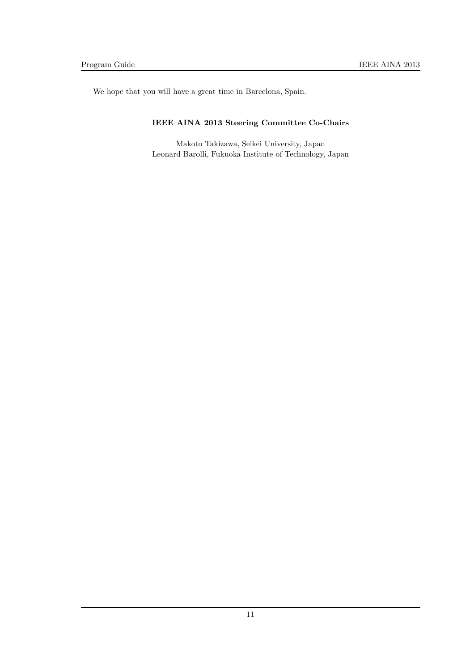We hope that you will have a great time in Barcelona, Spain.

# IEEE AINA 2013 Steering Committee Co-Chairs

Makoto Takizawa, Seikei University, Japan Leonard Barolli, Fukuoka Institute of Technology, Japan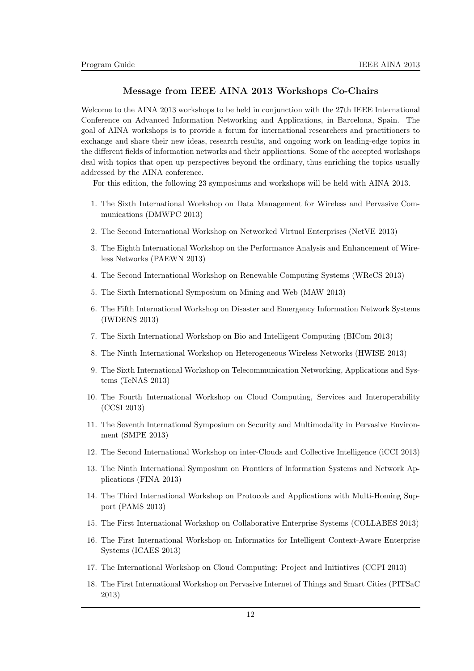# Message from IEEE AINA 2013 Workshops Co-Chairs

<span id="page-12-0"></span>Welcome to the AINA 2013 workshops to be held in conjunction with the 27th IEEE International Conference on Advanced Information Networking and Applications, in Barcelona, Spain. The goal of AINA workshops is to provide a forum for international researchers and practitioners to exchange and share their new ideas, research results, and ongoing work on leading-edge topics in the different fields of information networks and their applications. Some of the accepted workshops deal with topics that open up perspectives beyond the ordinary, thus enriching the topics usually addressed by the AINA conference.

For this edition, the following 23 symposiums and workshops will be held with AINA 2013.

- 1. The Sixth International Workshop on Data Management for Wireless and Pervasive Communications (DMWPC 2013)
- 2. The Second International Workshop on Networked Virtual Enterprises (NetVE 2013)
- 3. The Eighth International Workshop on the Performance Analysis and Enhancement of Wireless Networks (PAEWN 2013)
- 4. The Second International Workshop on Renewable Computing Systems (WReCS 2013)
- 5. The Sixth International Symposium on Mining and Web (MAW 2013)
- 6. The Fifth International Workshop on Disaster and Emergency Information Network Systems (IWDENS 2013)
- 7. The Sixth International Workshop on Bio and Intelligent Computing (BICom 2013)
- 8. The Ninth International Workshop on Heterogeneous Wireless Networks (HWISE 2013)
- 9. The Sixth International Workshop on Telecommunication Networking, Applications and Systems (TeNAS 2013)
- 10. The Fourth International Workshop on Cloud Computing, Services and Interoperability (CCSI 2013)
- 11. The Seventh International Symposium on Security and Multimodality in Pervasive Environment (SMPE 2013)
- 12. The Second International Workshop on inter-Clouds and Collective Intelligence (iCCI 2013)
- 13. The Ninth International Symposium on Frontiers of Information Systems and Network Applications (FINA 2013)
- 14. The Third International Workshop on Protocols and Applications with Multi-Homing Support (PAMS 2013)
- 15. The First International Workshop on Collaborative Enterprise Systems (COLLABES 2013)
- 16. The First International Workshop on Informatics for Intelligent Context-Aware Enterprise Systems (ICAES 2013)
- 17. The International Workshop on Cloud Computing: Project and Initiatives (CCPI 2013)
- 18. The First International Workshop on Pervasive Internet of Things and Smart Cities (PITSaC 2013)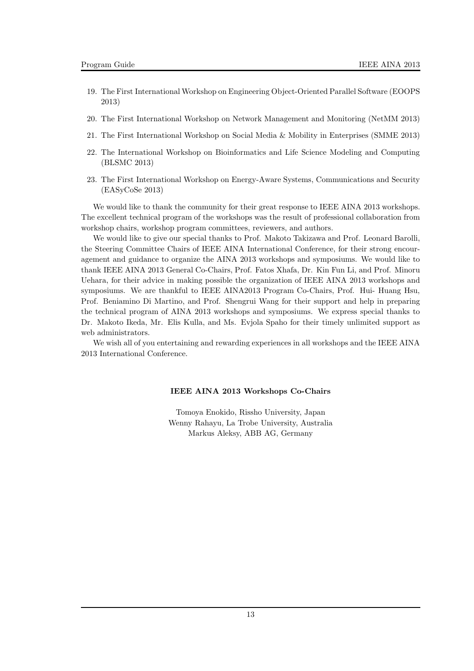- 19. The First International Workshop on Engineering Object-Oriented Parallel Software (EOOPS 2013)
- 20. The First International Workshop on Network Management and Monitoring (NetMM 2013)
- 21. The First International Workshop on Social Media & Mobility in Enterprises (SMME 2013)
- 22. The International Workshop on Bioinformatics and Life Science Modeling and Computing (BLSMC 2013)
- 23. The First International Workshop on Energy-Aware Systems, Communications and Security (EASyCoSe 2013)

We would like to thank the community for their great response to IEEE AINA 2013 workshops. The excellent technical program of the workshops was the result of professional collaboration from workshop chairs, workshop program committees, reviewers, and authors.

We would like to give our special thanks to Prof. Makoto Takizawa and Prof. Leonard Barolli, the Steering Committee Chairs of IEEE AINA International Conference, for their strong encouragement and guidance to organize the AINA 2013 workshops and symposiums. We would like to thank IEEE AINA 2013 General Co-Chairs, Prof. Fatos Xhafa, Dr. Kin Fun Li, and Prof. Minoru Uehara, for their advice in making possible the organization of IEEE AINA 2013 workshops and symposiums. We are thankful to IEEE AINA2013 Program Co-Chairs, Prof. Hui- Huang Hsu, Prof. Beniamino Di Martino, and Prof. Shengrui Wang for their support and help in preparing the technical program of AINA 2013 workshops and symposiums. We express special thanks to Dr. Makoto Ikeda, Mr. Elis Kulla, and Ms. Evjola Spaho for their timely unlimited support as web administrators.

We wish all of you entertaining and rewarding experiences in all workshops and the IEEE AINA 2013 International Conference.

#### IEEE AINA 2013 Workshops Co-Chairs

Tomoya Enokido, Rissho University, Japan Wenny Rahayu, La Trobe University, Australia Markus Aleksy, ABB AG, Germany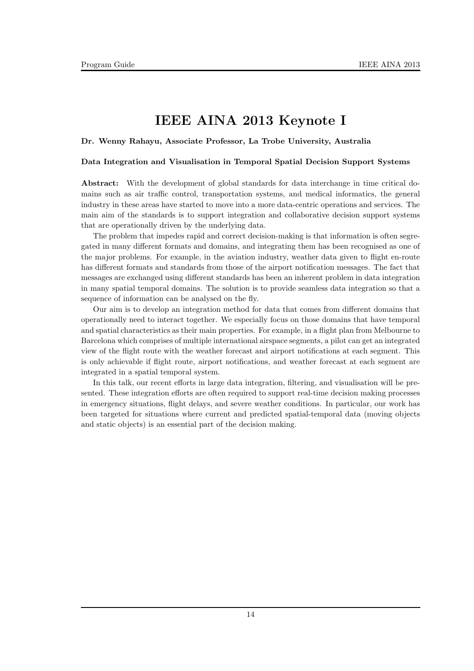# IEEE AINA 2013 Keynote I

#### <span id="page-14-0"></span>Dr. Wenny Rahayu, Associate Professor, La Trobe University, Australia

#### Data Integration and Visualisation in Temporal Spatial Decision Support Systems

Abstract: With the development of global standards for data interchange in time critical domains such as air traffic control, transportation systems, and medical informatics, the general industry in these areas have started to move into a more data-centric operations and services. The main aim of the standards is to support integration and collaborative decision support systems that are operationally driven by the underlying data.

The problem that impedes rapid and correct decision-making is that information is often segregated in many different formats and domains, and integrating them has been recognised as one of the major problems. For example, in the aviation industry, weather data given to flight en-route has different formats and standards from those of the airport notification messages. The fact that messages are exchanged using different standards has been an inherent problem in data integration in many spatial temporal domains. The solution is to provide seamless data integration so that a sequence of information can be analysed on the fly.

Our aim is to develop an integration method for data that comes from different domains that operationally need to interact together. We especially focus on those domains that have temporal and spatial characteristics as their main properties. For example, in a flight plan from Melbourne to Barcelona which comprises of multiple international airspace segments, a pilot can get an integrated view of the flight route with the weather forecast and airport notifications at each segment. This is only achievable if flight route, airport notifications, and weather forecast at each segment are integrated in a spatial temporal system.

In this talk, our recent efforts in large data integration, filtering, and visualisation will be presented. These integration efforts are often required to support real-time decision making processes in emergency situations, flight delays, and severe weather conditions. In particular, our work has been targeted for situations where current and predicted spatial-temporal data (moving objects and static objects) is an essential part of the decision making.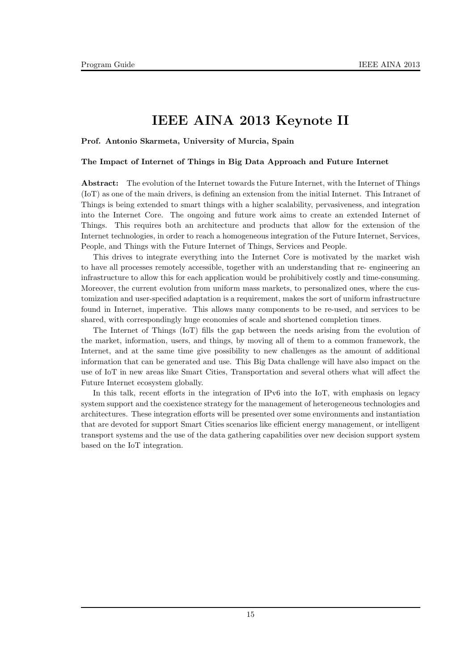# IEEE AINA 2013 Keynote II

#### <span id="page-15-0"></span>Prof. Antonio Skarmeta, University of Murcia, Spain

#### The Impact of Internet of Things in Big Data Approach and Future Internet

Abstract: The evolution of the Internet towards the Future Internet, with the Internet of Things (IoT) as one of the main drivers, is defining an extension from the initial Internet. This Intranet of Things is being extended to smart things with a higher scalability, pervasiveness, and integration into the Internet Core. The ongoing and future work aims to create an extended Internet of Things. This requires both an architecture and products that allow for the extension of the Internet technologies, in order to reach a homogeneous integration of the Future Internet, Services, People, and Things with the Future Internet of Things, Services and People.

This drives to integrate everything into the Internet Core is motivated by the market wish to have all processes remotely accessible, together with an understanding that re- engineering an infrastructure to allow this for each application would be prohibitively costly and time-consuming. Moreover, the current evolution from uniform mass markets, to personalized ones, where the customization and user-specified adaptation is a requirement, makes the sort of uniform infrastructure found in Internet, imperative. This allows many components to be re-used, and services to be shared, with correspondingly huge economies of scale and shortened completion times.

The Internet of Things (IoT) fills the gap between the needs arising from the evolution of the market, information, users, and things, by moving all of them to a common framework, the Internet, and at the same time give possibility to new challenges as the amount of additional information that can be generated and use. This Big Data challenge will have also impact on the use of IoT in new areas like Smart Cities, Transportation and several others what will affect the Future Internet ecosystem globally.

In this talk, recent efforts in the integration of IPv6 into the IoT, with emphasis on legacy system support and the coexistence strategy for the management of heterogeneous technologies and architectures. These integration efforts will be presented over some environments and instantiation that are devoted for support Smart Cities scenarios like efficient energy management, or intelligent transport systems and the use of the data gathering capabilities over new decision support system based on the IoT integration.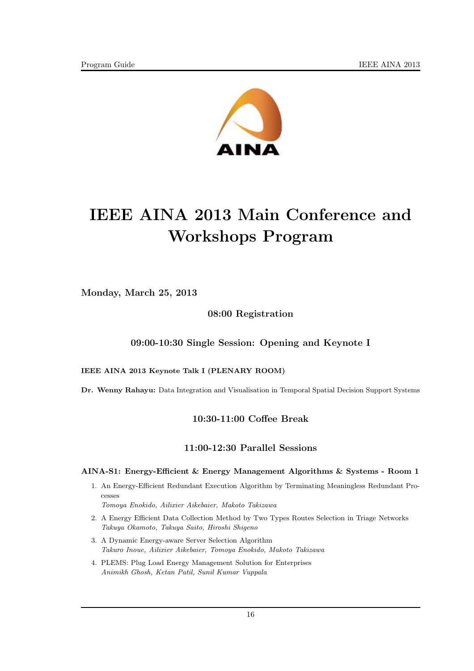

# <span id="page-16-0"></span>IEEE AINA 2013 Main Conference and Workshops Program

<span id="page-16-2"></span><span id="page-16-1"></span>Monday, March 25, 2013

08:00 Registration

09:00-10:30 Single Session: Opening and Keynote I

<span id="page-16-3"></span>IEEE AINA 2013 Keynote Talk I (PLENARY ROOM)

<span id="page-16-4"></span>Dr. Wenny Rahayu: Data Integration and Visualisation in Temporal Spatial Decision Support Systems

# 10:30-11:00 Coffee Break

# 11:00-12:30 Parallel Sessions

#### <span id="page-16-6"></span><span id="page-16-5"></span>AINA-S1: Energy-Efficient & Energy Management Algorithms & Systems - Room 1

1. An Energy-Efficient Redundant Execution Algorithm by Terminating Meaningless Redundant Processes

Tomoya Enokido, Ailixier Aikebaier, Makoto Takizawa

- 2. A Energy Efficient Data Collection Method by Two Types Routes Selection in Triage Networks Takuya Okamoto, Takuya Saito, Hiroshi Shigeno
- 3. A Dynamic Energy-aware Server Selection Algorithm Takuro Inoue, Ailixier Aikebaier, Tomoya Enokido, Makoto Takizawa
- 4. PLEMS: Plug Load Energy Management Solution for Enterprises Animikh Ghosh, Ketan Patil, Sunil Kumar Vuppala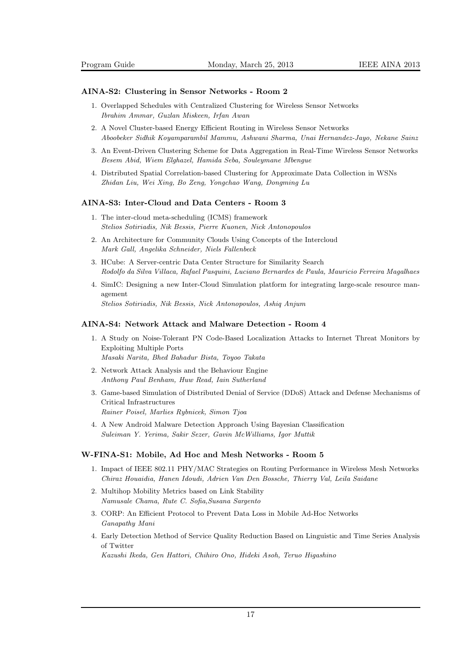#### <span id="page-17-0"></span>AINA-S2: Clustering in Sensor Networks - Room 2

- 1. Overlapped Schedules with Centralized Clustering for Wireless Sensor Networks Ibrahim Ammar, Guzlan Miskeen, Irfan Awan
- 2. A Novel Cluster-based Energy Efficient Routing in Wireless Sensor Networks Aboobeker Sidhik Koyamparambil Mammu, Ashwani Sharma, Unai Hernandez-Jayo, Nekane Sainz
- 3. An Event-Driven Clustering Scheme for Data Aggregation in Real-Time Wireless Sensor Networks Besem Abid, Wiem Elghazel, Hamida Seba, Souleymane Mbengue
- 4. Distributed Spatial Correlation-based Clustering for Approximate Data Collection in WSNs Zhidan Liu, Wei Xing, Bo Zeng, Yongchao Wang, Dongming Lu

#### <span id="page-17-1"></span>AINA-S3: Inter-Cloud and Data Centers - Room 3

- 1. The inter-cloud meta-scheduling (ICMS) framework Stelios Sotiriadis, Nik Bessis, Pierre Kuonen, Nick Antonopoulos
- 2. An Architecture for Community Clouds Using Concepts of the Intercloud Mark Gall, Angelika Schneider, Niels Fallenbeck
- 3. HCube: A Server-centric Data Center Structure for Similarity Search Rodolfo da Silva Villaca, Rafael Pasquini, Luciano Bernardes de Paula, Mauricio Ferreira Magalhaes
- 4. SimIC: Designing a new Inter-Cloud Simulation platform for integrating large-scale resource management Stelios Sotiriadis, Nik Bessis, Nick Antonopoulos, Ashiq Anjum

#### <span id="page-17-2"></span>AINA-S4: Network Attack and Malware Detection - Room 4

- 1. A Study on Noise-Tolerant PN Code-Based Localization Attacks to Internet Threat Monitors by Exploiting Multiple Ports Masaki Narita, Bhed Bahadur Bista, Toyoo Takata
- 2. Network Attack Analysis and the Behaviour Engine Anthony Paul Benham, Huw Read, Iain Sutherland
- 3. Game-based Simulation of Distributed Denial of Service (DDoS) Attack and Defense Mechanisms of Critical Infrastructures Rainer Poisel, Marlies Rybnicek, Simon Tjoa
- 4. A New Android Malware Detection Approach Using Bayesian Classification Suleiman Y. Yerima, Sakir Sezer, Gavin McWilliams, Igor Muttik

#### <span id="page-17-3"></span>W-FINA-S1: Mobile, Ad Hoc and Mesh Networks - Room 5

- 1. Impact of IEEE 802.11 PHY/MAC Strategies on Routing Performance in Wireless Mesh Networks Chiraz Houaidia, Hanen Idoudi, Adrien Van Den Bossche, Thierry Val, Leila Saidane
- 2. Multihop Mobility Metrics based on Link Stability Namusale Chama, Rute C. Sofia,Susana Sargento
- 3. CORP: An Efficient Protocol to Prevent Data Loss in Mobile Ad-Hoc Networks Ganapathy Mani
- 4. Early Detection Method of Service Quality Reduction Based on Linguistic and Time Series Analysis of Twitter

Kazushi Ikeda, Gen Hattori, Chihiro Ono, Hideki Asoh, Teruo Higashino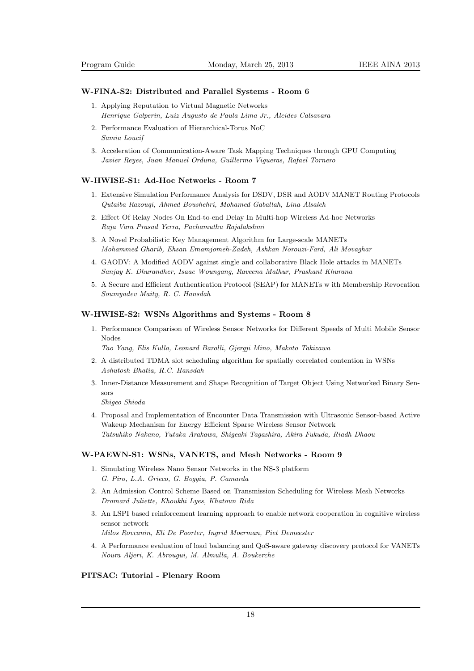#### <span id="page-18-0"></span>W-FINA-S2: Distributed and Parallel Systems - Room 6

- 1. Applying Reputation to Virtual Magnetic Networks Henrique Galperin, Luiz Augusto de Paula Lima Jr., Alcides Calsavara
- 2. Performance Evaluation of Hierarchical-Torus NoC Samia Loucif
- 3. Acceleration of Communication-Aware Task Mapping Techniques through GPU Computing Javier Reyes, Juan Manuel Orduna, Guillermo Vigueras, Rafael Tornero

#### <span id="page-18-1"></span>W-HWISE-S1: Ad-Hoc Networks - Room 7

- 1. Extensive Simulation Performance Analysis for DSDV, DSR and AODV MANET Routing Protocols Qutaiba Razouqi, Ahmed Boushehri, Mohamed Gaballah, Lina Alsaleh
- 2. Effect Of Relay Nodes On End-to-end Delay In Multi-hop Wireless Ad-hoc Networks Raja Vara Prasad Yerra, Pachamuthu Rajalakshmi
- 3. A Novel Probabilistic Key Management Algorithm for Large-scale MANETs Mohammed Gharib, Ehsan Emamjomeh-Zadeh, Ashkan Norouzi-Fard, Ali Movaghar
- 4. GAODV: A Modified AODV against single and collaborative Black Hole attacks in MANETs Sanjay K. Dhurandher, Isaac Woungang, Raveena Mathur, Prashant Khurana
- 5. A Secure and Efficient Authentication Protocol (SEAP) for MANETs w ith Membership Revocation Soumyadev Maity, R. C. Hansdah

#### <span id="page-18-2"></span>W-HWISE-S2: WSNs Algorithms and Systems - Room 8

1. Performance Comparison of Wireless Sensor Networks for Different Speeds of Multi Mobile Sensor Nodes

Tao Yang, Elis Kulla, Leonard Barolli, Gjergji Mino, Makoto Takizawa

- 2. A distributed TDMA slot scheduling algorithm for spatially correlated contention in WSNs Ashutosh Bhatia, R.C. Hansdah
- 3. Inner-Distance Measurement and Shape Recognition of Target Object Using Networked Binary Sensors

Shigeo Shioda

4. Proposal and Implementation of Encounter Data Transmission with Ultrasonic Sensor-based Active Wakeup Mechanism for Energy Efficient Sparse Wireless Sensor Network Tatsuhiko Nakano, Yutaka Arakawa, Shigeaki Tagashira, Akira Fukuda, Riadh Dhaou

#### <span id="page-18-3"></span>W-PAEWN-S1: WSNs, VANETS, and Mesh Networks - Room 9

- 1. Simulating Wireless Nano Sensor Networks in the NS-3 platform G. Piro, L.A. Grieco, G. Boggia, P. Camarda
- 2. An Admission Control Scheme Based on Transmission Scheduling for Wireless Mesh Networks Dromard Juliette, Khoukhi Lyes, Khatoun Rida
- 3. An LSPI based reinforcement learning approach to enable network cooperation in cognitive wireless sensor network

Milos Rovcanin, Eli De Poorter, Ingrid Moerman, Piet Demeester

4. A Performance evaluation of load balancing and QoS-aware gateway discovery protocol for VANETs Noura Aljeri, K. Abrougui, M. Almulla, A. Boukerche

#### <span id="page-18-4"></span>PITSAC: Tutorial - Plenary Room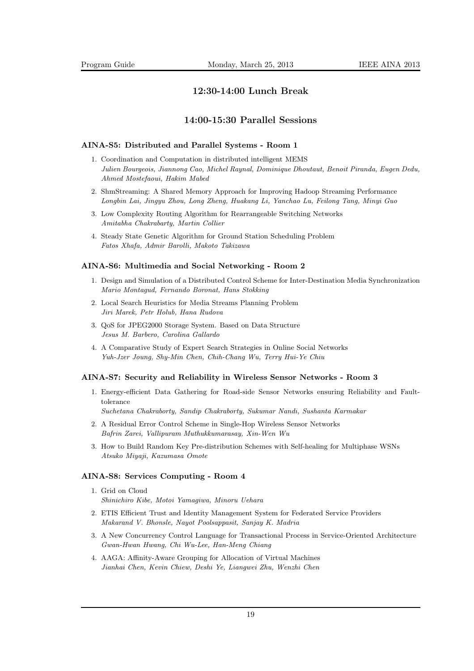# 12:30-14:00 Lunch Break

# 14:00-15:30 Parallel Sessions

#### <span id="page-19-2"></span><span id="page-19-1"></span><span id="page-19-0"></span>AINA-S5: Distributed and Parallel Systems - Room 1

- 1. Coordination and Computation in distributed intelligent MEMS Julien Bourgeois, Jiannong Cao, Michel Raynal, Dominique Dhoutaut, Benoit Piranda, Eugen Dedu, Ahmed Mostefaoui, Hakim Mabed
- 2. ShmStreaming: A Shared Memory Approach for Improving Hadoop Streaming Performance Longbin Lai, Jingyu Zhou, Long Zheng, Huakang Li, Yanchao Lu, Feilong Tang, Minyi Guo
- 3. Low Complexity Routing Algorithm for Rearrangeable Switching Networks Amitabha Chakrabarty, Martin Collier
- 4. Steady State Genetic Algorithm for Ground Station Scheduling Problem Fatos Xhafa, Admir Barolli, Makoto Takizawa

#### <span id="page-19-3"></span>AINA-S6: Multimedia and Social Networking - Room 2

- 1. Design and Simulation of a Distributed Control Scheme for Inter-Destination Media Synchronization Mario Montagud, Fernando Boronat, Hans Stokking
- 2. Local Search Heuristics for Media Streams Planning Problem Jiri Marek, Petr Holub, Hana Rudova
- 3. QoS for JPEG2000 Storage System. Based on Data Structure Jesus M. Barbero, Carolina Gallardo
- 4. A Comparative Study of Expert Search Strategies in Online Social Networks Yuh-Jzer Joung, Shy-Min Chen, Chih-Chang Wu, Terry Hui-Ye Chiu

#### <span id="page-19-4"></span>AINA-S7: Security and Reliability in Wireless Sensor Networks - Room 3

1. Energy-efficient Data Gathering for Road-side Sensor Networks ensuring Reliability and Faulttolerance

Suchetana Chakraborty, Sandip Chakraborty, Sukumar Nandi, Sushanta Karmakar

- 2. A Residual Error Control Scheme in Single-Hop Wireless Sensor Networks Bafrin Zarei, Vallipuram Muthukkumarasay, Xin-Wen Wu
- 3. How to Build Random Key Pre-distribution Schemes with Self-healing for Multiphase WSNs Atsuko Miyaji, Kazumasa Omote

#### <span id="page-19-5"></span>AINA-S8: Services Computing - Room 4

- 1. Grid on Cloud Shinichiro Kibe, Motoi Yamagiwa, Minoru Uehara
- 2. ETIS Efficient Trust and Identity Management System for Federated Service Providers Makarand V. Bhonsle, Nayot Poolsappasit, Sanjay K. Madria
- 3. A New Concurrency Control Language for Transactional Process in Service-Oriented Architecture Gwan-Hwan Hwang, Chi Wu-Lee, Han-Meng Chiang
- 4. AAGA: Affinity-Aware Grouping for Allocation of Virtual Machines Jianhai Chen, Kevin Chiew, Deshi Ye, Liangwei Zhu, Wenzhi Chen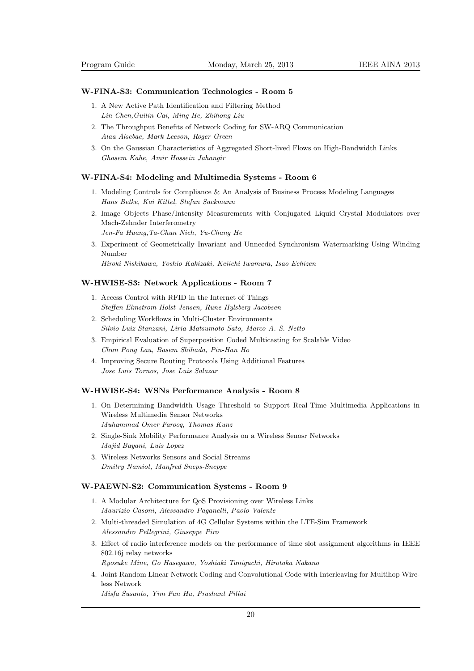#### <span id="page-20-0"></span>W-FINA-S3: Communication Technologies - Room 5

- 1. A New Active Path Identification and Filtering Method Lin Chen,Guilin Cai, Ming He, Zhihong Liu
- 2. The Throughput Benefits of Network Coding for SW-ARQ Communication Alaa Alsebae, Mark Leeson, Roger Green
- 3. On the Gaussian Characteristics of Aggregated Short-lived Flows on High-Bandwidth Links Ghasem Kahe, Amir Hossein Jahangir

#### <span id="page-20-1"></span>W-FINA-S4: Modeling and Multimedia Systems - Room 6

- 1. Modeling Controls for Compliance & An Analysis of Business Process Modeling Languages Hans Betke, Kai Kittel, Stefan Sackmann
- 2. Image Objects Phase/Intensity Measurements with Conjugated Liquid Crystal Modulators over Mach-Zehnder Interferometry Jen-Fa Huang,Ta-Chun Nieh, Yu-Chang He
- 3. Experiment of Geometrically Invariant and Unneeded Synchronism Watermarking Using Winding Number Hiroki Nishikawa, Yoshio Kakizaki, Keiichi Iwamura, Isao Echizen

# <span id="page-20-2"></span>W-HWISE-S3: Network Applications - Room 7

- 1. Access Control with RFID in the Internet of Things Steffen Elmstrom Holst Jensen, Rune Hylsberg Jacobsen
- 2. Scheduling Workflows in Multi-Cluster Environments Silvio Luiz Stanzani, Liria Matsumoto Sato, Marco A. S. Netto
- 3. Empirical Evaluation of Superposition Coded Multicasting for Scalable Video Chun Pong Lau, Basem Shihada, Pin-Han Ho
- 4. Improving Secure Routing Protocols Using Additional Features Jose Luis Tornos, Jose Luis Salazar

#### <span id="page-20-3"></span>W-HWISE-S4: WSNs Performance Analysis - Room 8

- 1. On Determining Bandwidth Usage Threshold to Support Real-Time Multimedia Applications in Wireless Multimedia Sensor Networks Muhammad Omer Farooq, Thomas Kunz
- 2. Single-Sink Mobility Performance Analysis on a Wireless Senosr Networks Majid Bayani, Luis Lopez
- 3. Wireless Networks Sensors and Social Streams Dmitry Namiot, Manfred Sneps-Sneppe

#### <span id="page-20-4"></span>W-PAEWN-S2: Communication Systems - Room 9

- 1. A Modular Architecture for QoS Provisioning over Wireless Links Maurizio Casoni, Alessandro Paganelli, Paolo Valente
- 2. Multi-threaded Simulation of 4G Cellular Systems within the LTE-Sim Framework Alessandro Pellegrini, Giuseppe Piro
- 3. Effect of radio interference models on the performance of time slot assignment algorithms in IEEE 802.16j relay networks

Ryosuke Mine, Go Hasegawa, Yoshiaki Taniguchi, Hirotaka Nakano

4. Joint Random Linear Network Coding and Convolutional Code with Interleaving for Multihop Wireless Network

Misfa Susanto, Yim Fun Hu, Prashant Pillai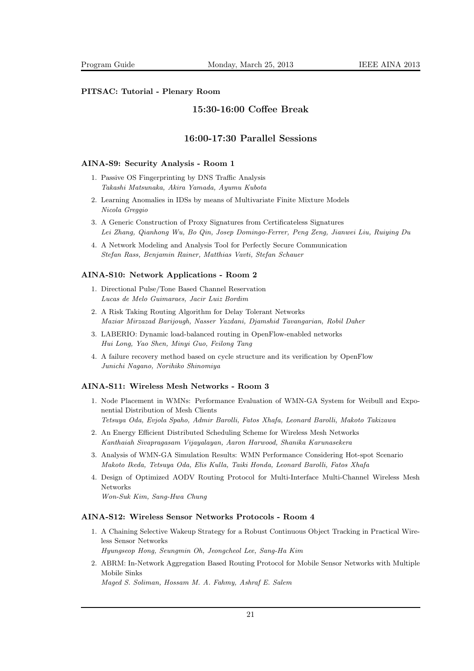#### <span id="page-21-1"></span><span id="page-21-0"></span>PITSAC: Tutorial - Plenary Room

# 15:30-16:00 Coffee Break

# 16:00-17:30 Parallel Sessions

#### <span id="page-21-3"></span><span id="page-21-2"></span>AINA-S9: Security Analysis - Room 1

- 1. Passive OS Fingerprinting by DNS Traffic Analysis Takashi Matsunaka, Akira Yamada, Ayumu Kubota
- 2. Learning Anomalies in IDSs by means of Multivariate Finite Mixture Models Nicola Greggio
- 3. A Generic Construction of Proxy Signatures from Certificateless Signatures Lei Zhang, Qianhong Wu, Bo Qin, Josep Domingo-Ferrer, Peng Zeng, Jianwei Liu, Ruiying Du
- 4. A Network Modeling and Analysis Tool for Perfectly Secure Communication Stefan Rass, Benjamin Rainer, Matthias Vavti, Stefan Schauer

#### <span id="page-21-4"></span>AINA-S10: Network Applications - Room 2

- 1. Directional Pulse/Tone Based Channel Reservation Lucas de Melo Guimaraes, Jacir Luiz Bordim
- 2. A Risk Taking Routing Algorithm for Delay Tolerant Networks Maziar Mirzazad Barijough, Nasser Yazdani, Djamshid Tavangarian, Robil Daher
- 3. LABERIO: Dynamic load-balanced routing in OpenFlow-enabled networks Hui Long, Yao Shen, Minyi Guo, Feilong Tang
- 4. A failure recovery method based on cycle structure and its verification by OpenFlow Junichi Nagano, Norihiko Shinomiya

#### <span id="page-21-5"></span>AINA-S11: Wireless Mesh Networks - Room 3

- 1. Node Placement in WMNs: Performance Evaluation of WMN-GA System for Weibull and Exponential Distribution of Mesh Clients Tetsuya Oda, Evjola Spaho, Admir Barolli, Fatos Xhafa, Leonard Barolli, Makoto Takizawa
	-
- 2. An Energy Efficient Distributed Scheduling Scheme for Wireless Mesh Networks Kanthaiah Sivapragasam Vijayalayan, Aaron Harwood, Shanika Karunasekera
- 3. Analysis of WMN-GA Simulation Results: WMN Performance Considering Hot-spot Scenario Makoto Ikeda, Tetsuya Oda, Elis Kulla, Taiki Honda, Leonard Barolli, Fatos Xhafa
- 4. Design of Optimized AODV Routing Protocol for Multi-Interface Multi-Channel Wireless Mesh Networks

Won-Suk Kim, Sang-Hwa Chung

#### <span id="page-21-6"></span>AINA-S12: Wireless Sensor Networks Protocols - Room 4

- 1. A Chaining Selective Wakeup Strategy for a Robust Continuous Object Tracking in Practical Wireless Sensor Networks Hyungseop Hong, Seungmin Oh, Jeongcheol Lee, Sang-Ha Kim
- 2. ABRM: In-Network Aggregation Based Routing Protocol for Mobile Sensor Networks with Multiple Mobile Sinks Maged S. Soliman, Hossam M. A. Fahmy, Ashraf E. Salem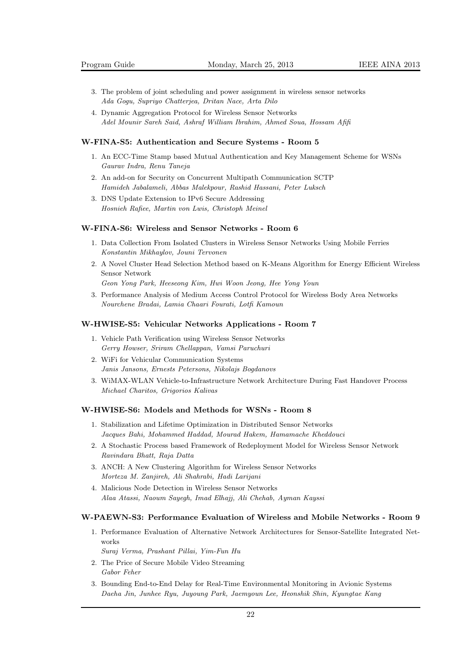- 3. The problem of joint scheduling and power assignment in wireless sensor networks Ada Gogu, Supriyo Chatterjea, Dritan Nace, Arta Dilo
- 4. Dynamic Aggregation Protocol for Wireless Sensor Networks Adel Mounir Sareh Said, Ashraf William Ibrahim, Ahmed Soua, Hossam Afifi

#### <span id="page-22-0"></span>W-FINA-S5: Authentication and Secure Systems - Room 5

- 1. An ECC-Time Stamp based Mutual Authentication and Key Management Scheme for WSNs Gaurav Indra, Renu Taneja
- 2. An add-on for Security on Concurrent Multipath Communication SCTP Hamideh Jabalameli, Abbas Malekpour, Rashid Hassani, Peter Luksch
- 3. DNS Update Extension to IPv6 Secure Addressing Hosnieh Rafiee, Martin von Lwis, Christoph Meinel

#### <span id="page-22-1"></span>W-FINA-S6: Wireless and Sensor Networks - Room 6

- 1. Data Collection From Isolated Clusters in Wireless Sensor Networks Using Mobile Ferries Konstantin Mikhaylov, Jouni Tervonen
- 2. A Novel Cluster Head Selection Method based on K-Means Algorithm for Energy Efficient Wireless Sensor Network

Geon Yong Park, Heeseong Kim, Hwi Woon Jeong, Hee Yong Youn

3. Performance Analysis of Medium Access Control Protocol for Wireless Body Area Networks Nourchene Bradai, Lamia Chaari Fourati, Lotfi Kamoun

#### <span id="page-22-2"></span>W-HWISE-S5: Vehicular Networks Applications - Room 7

- 1. Vehicle Path Verification using Wireless Sensor Networks Gerry Howser, Sriram Chellappan, Vamsi Paruchuri
- 2. WiFi for Vehicular Communication Systems Janis Jansons, Ernests Petersons, Nikolajs Bogdanovs
- 3. WiMAX-WLAN Vehicle-to-Infrastructure Network Architecture During Fast Handover Process Michael Charitos, Grigorios Kalivas

#### <span id="page-22-3"></span>W-HWISE-S6: Models and Methods for WSNs - Room 8

- 1. Stabilization and Lifetime Optimization in Distributed Sensor Networks Jacques Bahi, Mohammed Haddad, Mourad Hakem, Hamamache Kheddouci
- 2. A Stochastic Process based Framework of Redeployment Model for Wireless Sensor Network Ravindara Bhatt, Raja Datta
- 3. ANCH: A New Clustering Algorithm for Wireless Sensor Networks Morteza M. Zanjireh, Ali Shahrabi, Hadi Larijani
- 4. Malicious Node Detection in Wireless Sensor Networks Alaa Atassi, Naoum Sayegh, Imad Elhajj, Ali Chehab, Ayman Kayssi

#### <span id="page-22-4"></span>W-PAEWN-S3: Performance Evaluation of Wireless and Mobile Networks - Room 9

1. Performance Evaluation of Alternative Network Architectures for Sensor-Satellite Integrated Networks

Suraj Verma, Prashant Pillai, Yim-Fun Hu

- 2. The Price of Secure Mobile Video Streaming Gabor Feher
- 3. Bounding End-to-End Delay for Real-Time Environmental Monitoring in Avionic Systems Daeha Jin, Junhee Ryu, Juyoung Park, Jaemyoun Lee, Heonshik Shin, Kyungtae Kang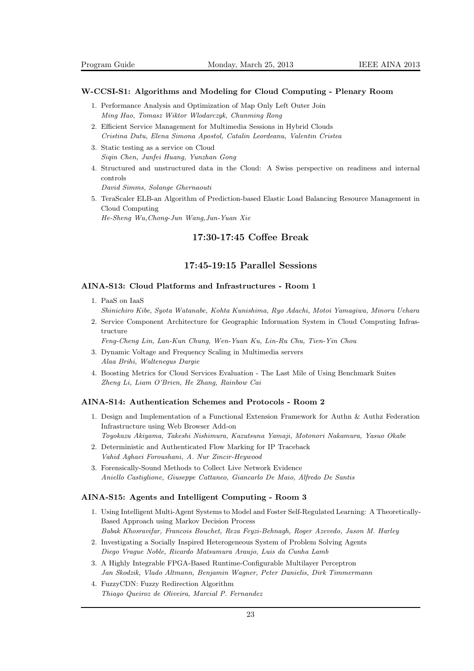#### <span id="page-23-0"></span>W-CCSI-S1: Algorithms and Modeling for Cloud Computing - Plenary Room

- 1. Performance Analysis and Optimization of Map Only Left Outer Join Ming Hao, Tomasz Wiktor Wlodarczyk, Chunming Rong
- 2. Efficient Service Management for Multimedia Sessions in Hybrid Clouds Cristina Dutu, Elena Simona Apostol, Catalin Leordeanu, Valentin Cristea
- 3. Static testing as a service on Cloud Siqin Chen, Junfei Huang, Yunzhan Gong
- 4. Structured and unstructured data in the Cloud: A Swiss perspective on readiness and internal controls

David Simms, Solange Ghernaouti

5. TeraScaler ELB-an Algorithm of Prediction-based Elastic Load Balancing Resource Management in Cloud Computing

<span id="page-23-1"></span>He-Sheng Wu,Chong-Jun Wang,Jun-Yuan Xie

# 17:30-17:45 Coffee Break

# 17:45-19:15 Parallel Sessions

#### <span id="page-23-3"></span><span id="page-23-2"></span>AINA-S13: Cloud Platforms and Infrastructures - Room 1

1. PaaS on IaaS

Shinichiro Kibe, Syota Watanabe, Kohta Kunishima, Ryo Adachi, Motoi Yamagiwa, Minoru Uehara

2. Service Component Architecture for Geographic Information System in Cloud Computing Infrastructure

Feng-Cheng Lin, Lan-Kun Chung, Wen-Yuan Ku, Lin-Ru Chu, Tien-Yin Chou

- 3. Dynamic Voltage and Frequency Scaling in Multimedia servers Alaa Brihi, Waltenegus Dargie
- 4. Boosting Metrics for Cloud Services Evaluation The Last Mile of Using Benchmark Suites Zheng Li, Liam O'Brien, He Zhang, Rainbow Cai

#### <span id="page-23-4"></span>AINA-S14: Authentication Schemes and Protocols - Room 2

- 1. Design and Implementation of a Functional Extension Framework for Authn & Authz Federation Infrastructure using Web Browser Add-on Toyokazu Akiyama, Takeshi Nishimura, Kazutsuna Yamaji, Motonori Nakamura, Yasuo Okabe
- 2. Deterministic and Authenticated Flow Marking for IP Traceback Vahid Aghaei Foroushani, A. Nur Zincir-Heywood
- 3. Forensically-Sound Methods to Collect Live Network Evidence Aniello Castiglione, Giuseppe Cattaneo, Giancarlo De Maio, Alfredo De Santis

#### <span id="page-23-5"></span>AINA-S15: Agents and Intelligent Computing - Room 3

- 1. Using Intelligent Multi-Agent Systems to Model and Foster Self-Regulated Learning: A Theoretically-Based Approach using Markov Decision Process Babak Khosravifar, Francois Bouchet, Reza Feyzi-Behnagh, Roger Azevedo, Jason M. Harley
- 2. Investigating a Socially Inspired Heterogeneous System of Problem Solving Agents
- Diego Vrague Noble, Ricardo Matsumura Araujo, Luis da Cunha Lamb 3. A Highly Integrable FPGA-Based Runtime-Configurable Multilayer Perceptron
- Jan Skodzik, Vlado Altmann, Benjamin Wagner, Peter Danielis, Dirk Timmermann
- 4. FuzzyCDN: Fuzzy Redirection Algorithm Thiago Queiroz de Oliveira, Marcial P. Fernandez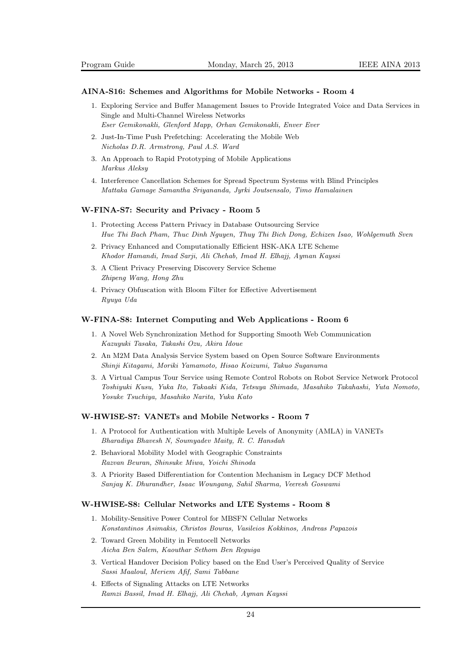#### <span id="page-24-0"></span>AINA-S16: Schemes and Algorithms for Mobile Networks - Room 4

- 1. Exploring Service and Buffer Management Issues to Provide Integrated Voice and Data Services in Single and Multi-Channel Wireless Networks
- Eser Gemikonakli, Glenford Mapp, Orhan Gemikonakli, Enver Ever
- 2. Just-In-Time Push Prefetching: Accelerating the Mobile Web Nicholas D.R. Armstrong, Paul A.S. Ward
- 3. An Approach to Rapid Prototyping of Mobile Applications Markus Aleksy
- 4. Interference Cancellation Schemes for Spread Spectrum Systems with Blind Principles Mattaka Gamage Samantha Sriyananda, Jyrki Joutsensalo, Timo Hamalainen

#### <span id="page-24-1"></span>W-FINA-S7: Security and Privacy - Room 5

- 1. Protecting Access Pattern Privacy in Database Outsourcing Service Hue Thi Bach Pham, Thuc Dinh Nguyen, Thuy Thi Bich Dong, Echizen Isao, Wohlgemuth Sven
- 2. Privacy Enhanced and Computationally Efficient HSK-AKA LTE Scheme Khodor Hamandi, Imad Sarji, Ali Chehab, Imad H. Elhajj, Ayman Kayssi
- 3. A Client Privacy Preserving Discovery Service Scheme Zhipeng Wang, Hong Zhu
- 4. Privacy Obfuscation with Bloom Filter for Effective Advertisement Ryuya Uda

#### <span id="page-24-2"></span>W-FINA-S8: Internet Computing and Web Applications - Room 6

- 1. A Novel Web Synchronization Method for Supporting Smooth Web Communication Kazuyuki Tasaka, Takashi Ozu, Akira Idoue
- 2. An M2M Data Analysis Service System based on Open Source Software Environments Shinji Kitagami, Moriki Yamamoto, Hisao Koizumi, Takuo Suganuma
- 3. A Virtual Campus Tour Service using Remote Control Robots on Robot Service Network Protocol Toshiyuki Kusu, Yuka Ito, Takaaki Kida, Tetsuya Shimada, Masahiko Takahashi, Yuta Nomoto, Yosuke Tsuchiya, Masahiko Narita, Yuka Kato

# <span id="page-24-3"></span>W-HWISE-S7: VANETs and Mobile Networks - Room 7

- 1. A Protocol for Authentication with Multiple Levels of Anonymity (AMLA) in VANETs Bharadiya Bhavesh N, Soumyadev Maity, R. C. Hansdah
- 2. Behavioral Mobility Model with Geographic Constraints Razvan Beuran, Shinsuke Miwa, Yoichi Shinoda
- 3. A Priority Based Differentiation for Contention Mechanism in Legacy DCF Method Sanjay K. Dhurandher, Isaac Woungang, Sahil Sharma, Veeresh Goswami

#### <span id="page-24-4"></span>W-HWISE-S8: Cellular Networks and LTE Systems - Room 8

- 1. Mobility-Sensitive Power Control for MBSFN Cellular Networks Konstantinos Asimakis, Christos Bouras, Vasileios Kokkinos, Andreas Papazois
- 2. Toward Green Mobility in Femtocell Networks Aicha Ben Salem, Kaouthar Sethom Ben Reguiga
- 3. Vertical Handover Decision Policy based on the End User's Perceived Quality of Service Sassi Maaloul, Meriem Afif, Sami Tabbane
- 4. Effects of Signaling Attacks on LTE Networks Ramzi Bassil, Imad H. Elhajj, Ali Chehab, Ayman Kayssi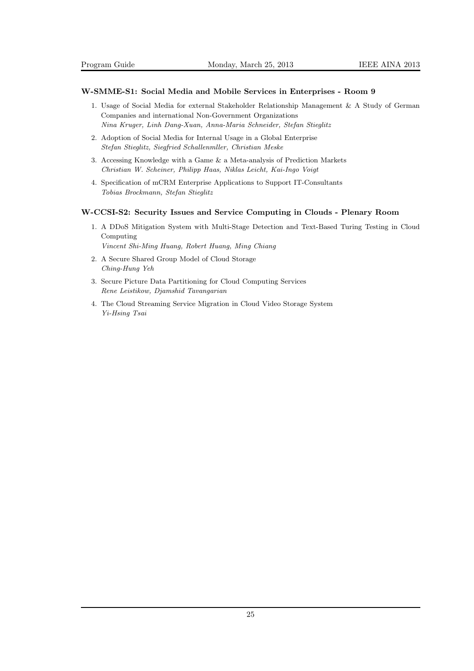#### <span id="page-25-0"></span>W-SMME-S1: Social Media and Mobile Services in Enterprises - Room 9

- 1. Usage of Social Media for external Stakeholder Relationship Management & A Study of German Companies and international Non-Government Organizations Nina Kruger, Linh Dang-Xuan, Anna-Maria Schneider, Stefan Stieglitz
- 2. Adoption of Social Media for Internal Usage in a Global Enterprise Stefan Stieglitz, Siegfried Schallenmller, Christian Meske
- 3. Accessing Knowledge with a Game & a Meta-analysis of Prediction Markets Christian W. Scheiner, Philipp Haas, Niklas Leicht, Kai-Ingo Voigt
- 4. Specification of mCRM Enterprise Applications to Support IT-Consultants Tobias Brockmann, Stefan Stieglitz

#### <span id="page-25-1"></span>W-CCSI-S2: Security Issues and Service Computing in Clouds - Plenary Room

1. A DDoS Mitigation System with Multi-Stage Detection and Text-Based Turing Testing in Cloud Computing

Vincent Shi-Ming Huang, Robert Huang, Ming Chiang

- 2. A Secure Shared Group Model of Cloud Storage Ching-Hung Yeh
- 3. Secure Picture Data Partitioning for Cloud Computing Services Rene Leistikow, Djamshid Tavangarian
- 4. The Cloud Streaming Service Migration in Cloud Video Storage System Yi-Hsing Tsai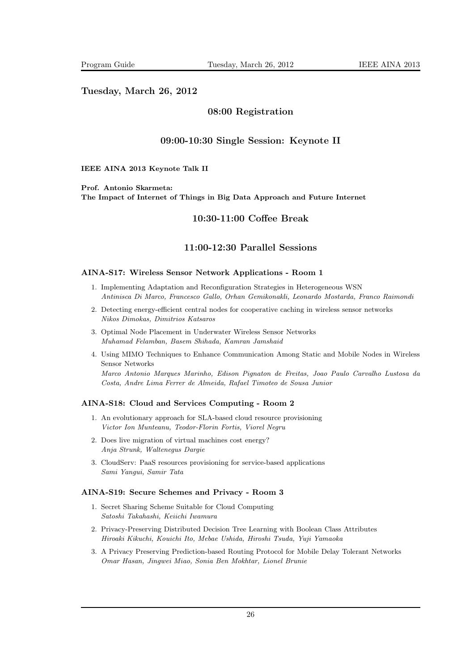# <span id="page-26-1"></span><span id="page-26-0"></span>Tuesday, March 26, 2012

# 08:00 Registration

# 09:00-10:30 Single Session: Keynote II

#### <span id="page-26-2"></span>IEEE AINA 2013 Keynote Talk II

<span id="page-26-3"></span>Prof. Antonio Skarmeta: The Impact of Internet of Things in Big Data Approach and Future Internet

# 10:30-11:00 Coffee Break

# 11:00-12:30 Parallel Sessions

#### <span id="page-26-5"></span><span id="page-26-4"></span>AINA-S17: Wireless Sensor Network Applications - Room 1

- 1. Implementing Adaptation and Reconfiguration Strategies in Heterogeneous WSN Antinisca Di Marco, Francesco Gallo, Orhan Gemikonakli, Leonardo Mostarda, Franco Raimondi
- 2. Detecting energy-efficient central nodes for cooperative caching in wireless sensor networks Nikos Dimokas, Dimitrios Katsaros
- 3. Optimal Node Placement in Underwater Wireless Sensor Networks Muhamad Felamban, Basem Shihada, Kamran Jamshaid
- 4. Using MIMO Techniques to Enhance Communication Among Static and Mobile Nodes in Wireless Sensor Networks

Marco Antonio Marques Marinho, Edison Pignaton de Freitas, Joao Paulo Carvalho Lustosa da Costa, Andre Lima Ferrer de Almeida, Rafael Timoteo de Sousa Junior

#### <span id="page-26-6"></span>AINA-S18: Cloud and Services Computing - Room 2

- 1. An evolutionary approach for SLA-based cloud resource provisioning Victor Ion Munteanu, Teodor-Florin Fortis, Viorel Negru
- 2. Does live migration of virtual machines cost energy? Anja Strunk, Waltenegus Dargie
- 3. CloudServ: PaaS resources provisioning for service-based applications Sami Yangui, Samir Tata

#### <span id="page-26-7"></span>AINA-S19: Secure Schemes and Privacy - Room 3

- 1. Secret Sharing Scheme Suitable for Cloud Computing Satoshi Takahashi, Keiichi Iwamura
- 2. Privacy-Preserving Distributed Decision Tree Learning with Boolean Class Attributes Hiroaki Kikuchi, Kouichi Ito, Mebae Ushida, Hiroshi Tsuda, Yuji Yamaoka
- 3. A Privacy Preserving Prediction-based Routing Protocol for Mobile Delay Tolerant Networks Omar Hasan, Jingwei Miao, Sonia Ben Mokhtar, Lionel Brunie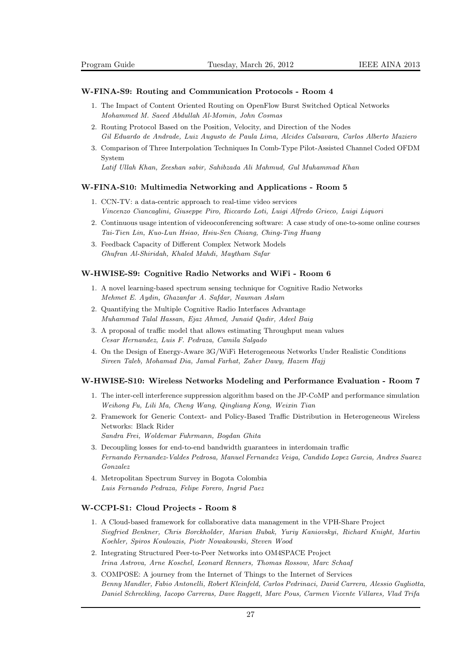#### <span id="page-27-0"></span>W-FINA-S9: Routing and Communication Protocols - Room 4

- 1. The Impact of Content Oriented Routing on OpenFlow Burst Switched Optical Networks Mohammed M. Saeed Abdullah Al-Momin, John Cosmas
- 2. Routing Protocol Based on the Position, Velocity, and Direction of the Nodes Gil Eduardo de Andrade, Luiz Augusto de Paula Lima, Alcides Calsavara, Carlos Alberto Maziero
- 3. Comparison of Three Interpolation Techniques In Comb-Type Pilot-Assisted Channel Coded OFDM System

Latif Ullah Khan, Zeeshan sabir, Sahibzada Ali Mahmud, Gul Muhammad Khan

#### <span id="page-27-1"></span>W-FINA-S10: Multimedia Networking and Applications - Room 5

- 1. CCN-TV: a data-centric approach to real-time video services Vincenzo Ciancaglini, Giuseppe Piro, Riccardo Loti, Luigi Alfredo Grieco, Luigi Liquori
- 2. Continuous usage intention of videoconferencing software: A case study of one-to-some online courses Tai-Tien Lin, Kuo-Lun Hsiao, Hsiu-Sen Chiang, Ching-Ting Huang
- 3. Feedback Capacity of Different Complex Network Models Ghufran Al-Shiridah, Khaled Mahdi, Maytham Safar

#### <span id="page-27-2"></span>W-HWISE-S9: Cognitive Radio Networks and WiFi - Room 6

- 1. A novel learning-based spectrum sensing technique for Cognitive Radio Networks Mehmet E. Aydin, Ghazanfar A. Safdar, Nauman Aslam
- 2. Quantifying the Multiple Cognitive Radio Interfaces Advantage Muhammad Talal Hassan, Ejaz Ahmed, Junaid Qadir, Adeel Baig
- 3. A proposal of traffic model that allows estimating Throughput mean values Cesar Hernandez, Luis F. Pedraza, Camila Salgado
- 4. On the Design of Energy-Aware 3G/WiFi Heterogeneous Networks Under Realistic Conditions Sireen Taleb, Mohamad Dia, Jamal Farhat, Zaher Dawy, Hazem Hajj

#### <span id="page-27-3"></span>W-HWISE-S10: Wireless Networks Modeling and Performance Evaluation - Room 7

- 1. The inter-cell interference suppression algorithm based on the JP-CoMP and performance simulation Weihong Fu, Lili Ma, Cheng Wang, Qingliang Kong, Weixin Tian
- 2. Framework for Generic Context- and Policy-Based Traffic Distribution in Heterogeneous Wireless Networks: Black Rider
	- Sandra Frei, Woldemar Fuhrmann, Bogdan Ghita
- 3. Decoupling losses for end-to-end bandwidth guarantees in interdomain traffic Fernando Fernandez-Valdes Pedrosa, Manuel Fernandez Veiga, Candido Lopez Garcia, Andres Suarez Gonzalez
- 4. Metropolitan Spectrum Survey in Bogota Colombia Luis Fernando Pedraza, Felipe Forero, Ingrid Paez

#### <span id="page-27-4"></span>W-CCPI-S1: Cloud Projects - Room 8

- 1. A Cloud-based framework for collaborative data management in the VPH-Share Project Siegfried Benkner, Chris Borckholder, Marian Bubak, Yuriy Kaniovskyi, Richard Knight, Martin Koehler, Spiros Koulouzis, Piotr Nowakowski, Steven Wood
- 2. Integrating Structured Peer-to-Peer Networks into OM4SPACE Project Irina Astrova, Arne Koschel, Leonard Renners, Thomas Rossow, Marc Schaaf
- 3. COMPOSE: A journey from the Internet of Things to the Internet of Services Benny Mandler, Fabio Antonelli, Robert Kleinfeld, Carlos Pedrinaci, David Carrera, Alessio Gugliotta, Daniel Schreckling, Iacopo Carreras, Dave Raggett, Marc Pous, Carmen Vicente Villares, Vlad Trifa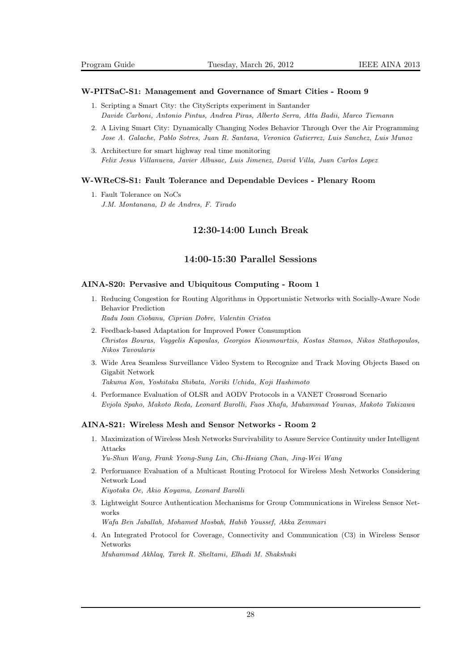#### <span id="page-28-0"></span>W-PITSaC-S1: Management and Governance of Smart Cities - Room 9

- 1. Scripting a Smart City: the CityScripts experiment in Santander Davide Carboni, Antonio Pintus, Andrea Piras, Alberto Serra, Atta Badii, Marco Tiemann
- 2. A Living Smart City: Dynamically Changing Nodes Behavior Through Over the Air Programming Jose A. Galache, Pablo Sotres, Juan R. Santana, Veronica Gutierrez, Luis Sanchez, Luis Munoz
- 3. Architecture for smart highway real time monitoring Felix Jesus Villanueva, Javier Albusac, Luis Jimenez, David Villa, Juan Carlos Lopez

#### <span id="page-28-1"></span>W-WReCS-S1: Fault Tolerance and Dependable Devices - Plenary Room

<span id="page-28-2"></span>1. Fault Tolerance on NoCs J.M. Montanana, D de Andres, F. Tirado

# 12:30-14:00 Lunch Break

# 14:00-15:30 Parallel Sessions

#### <span id="page-28-4"></span><span id="page-28-3"></span>AINA-S20: Pervasive and Ubiquitous Computing - Room 1

- 1. Reducing Congestion for Routing Algorithms in Opportunistic Networks with Socially-Aware Node Behavior Prediction Radu Ioan Ciobanu, Ciprian Dobre, Valentin Cristea
- 2. Feedback-based Adaptation for Improved Power Consumption Christos Bouras, Vaggelis Kapoulas, Georgios Kioumourtzis, Kostas Stamos, Nikos Stathopoulos, Nikos Tavoularis
- 3. Wide Area Seamless Surveillance Video System to Recognize and Track Moving Objects Based on Gigabit Network

Takuma Kon, Yoshitaka Shibata, Noriki Uchida, Koji Hashimoto

4. Performance Evaluation of OLSR and AODV Protocols in a VANET Crossroad Scenario Evjola Spaho, Makoto Ikeda, Leonard Barolli, Faos Xhafa, Muhammad Younas, Makoto Takizawa

#### <span id="page-28-5"></span>AINA-S21: Wireless Mesh and Sensor Networks - Room 2

1. Maximization of Wireless Mesh Networks Survivability to Assure Service Continuity under Intelligent Attacks

Yu-Shun Wang, Frank Yeong-Sung Lin, Chi-Hsiang Chan, Jing-Wei Wang

2. Performance Evaluation of a Multicast Routing Protocol for Wireless Mesh Networks Considering Network Load

Kiyotaka Oe, Akio Koyama, Leonard Barolli

3. Lightweight Source Authentication Mechanisms for Group Communications in Wireless Sensor Networks

Wafa Ben Jaballah, Mohamed Mosbah, Habib Youssef, Akka Zemmari

4. An Integrated Protocol for Coverage, Connectivity and Communication (C3) in Wireless Sensor Networks Muhammad Akhlaq, Tarek R. Sheltami, Elhadi M. Shakshuki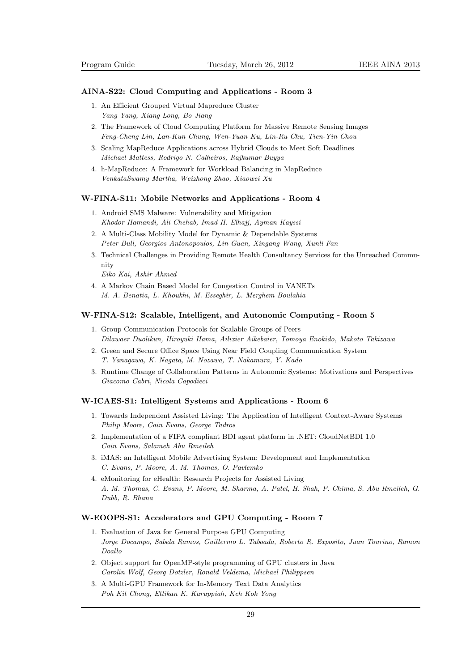#### <span id="page-29-0"></span>AINA-S22: Cloud Computing and Applications - Room 3

- 1. An Efficient Grouped Virtual Mapreduce Cluster Yang Yang, Xiang Long, Bo Jiang
- 2. The Framework of Cloud Computing Platform for Massive Remote Sensing Images Feng-Cheng Lin, Lan-Kun Chung, Wen-Yuan Ku, Lin-Ru Chu, Tien-Yin Chou
- 3. Scaling MapReduce Applications across Hybrid Clouds to Meet Soft Deadlines Michael Mattess, Rodrigo N. Calheiros, Rajkumar Buyya
- 4. h-MapReduce: A Framework for Workload Balancing in MapReduce VenkataSwamy Martha, Weizhong Zhao, Xiaowei Xu

#### <span id="page-29-1"></span>W-FINA-S11: Mobile Networks and Applications - Room 4

- 1. Android SMS Malware: Vulnerability and Mitigation Khodor Hamandi, Ali Chehab, Imad H. Elhajj, Ayman Kayssi
- 2. A Multi-Class Mobility Model for Dynamic & Dependable Systems Peter Bull, Georgios Antonopoulos, Lin Guan, Xingang Wang, Xunli Fan
- 3. Technical Challenges in Providing Remote Health Consultancy Services for the Unreached Community

Eiko Kai, Ashir Ahmed

4. A Markov Chain Based Model for Congestion Control in VANETs M. A. Benatia, L. Khoukhi, M. Esseghir, L. Merghem Boulahia

#### <span id="page-29-2"></span>W-FINA-S12: Scalable, Intelligent, and Autonomic Computing - Room 5

- 1. Group Communication Protocols for Scalable Groups of Peers Dilawaer Duolikun, Hiroyuki Hama, Ailixier Aikebaier, Tomoya Enokido, Makoto Takizawa
- 2. Green and Secure Office Space Using Near Field Coupling Communication System T. Yanagawa, K. Nagata, M. Nozawa, T. Nakamura, Y. Kado
- 3. Runtime Change of Collaboration Patterns in Autonomic Systems: Motivations and Perspectives Giacomo Cabri, Nicola Capodieci

#### <span id="page-29-3"></span>W-ICAES-S1: Intelligent Systems and Applications - Room 6

- 1. Towards Independent Assisted Living: The Application of Intelligent Context-Aware Systems Philip Moore, Cain Evans, George Tadros
- 2. Implementation of a FIPA compliant BDI agent platform in .NET: CloudNetBDI 1.0 Cain Evans, Salameh Abu Rmeileh
- 3. iMAS: an Intelligent Mobile Advertising System: Development and Implementation C. Evans, P. Moore, A. M. Thomas, O. Pavlemko
- 4. eMonitoring for eHealth: Research Projects for Assisted Living A. M. Thomas, C. Evans, P. Moore, M. Sharma, A. Patel, H. Shah, P. Chima, S. Abu Rmeileh, G. Dubb, R. Bhana

#### <span id="page-29-4"></span>W-EOOPS-S1: Accelerators and GPU Computing - Room 7

- 1. Evaluation of Java for General Purpose GPU Computing Jorge Docampo, Sabela Ramos, Guillermo L. Taboada, Roberto R. Exposito, Juan Tourino, Ramon Doallo
- 2. Object support for OpenMP-style programming of GPU clusters in Java Carolin Wolf, Georg Dotzler, Ronald Veldema, Michael Philippsen
- 3. A Multi-GPU Framework for In-Memory Text Data Analytics Poh Kit Chong, Ettikan K. Karuppiah, Keh Kok Yong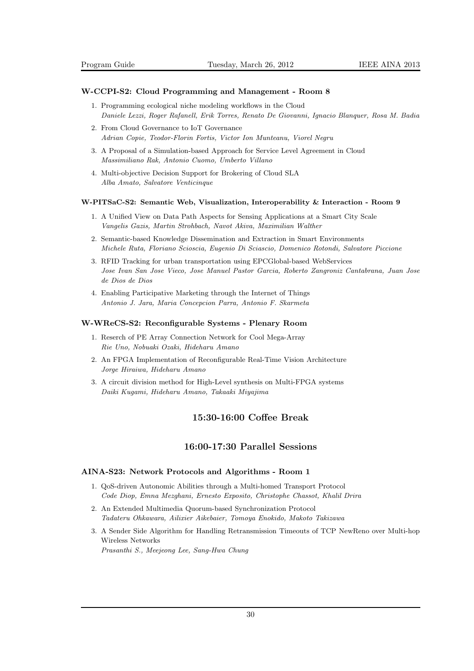#### <span id="page-30-0"></span>W-CCPI-S2: Cloud Programming and Management - Room 8

- 1. Programming ecological niche modeling workflows in the Cloud Daniele Lezzi, Roger Rafanell, Erik Torres, Renato De Giovanni, Ignacio Blanquer, Rosa M. Badia
- 2. From Cloud Governance to IoT Governance Adrian Copie, Teodor-Florin Fortis, Victor Ion Munteanu, Viorel Negru
- 3. A Proposal of a Simulation-based Approach for Service Level Agreement in Cloud Massimiliano Rak, Antonio Cuomo, Umberto Villano
- 4. Multi-objective Decision Support for Brokering of Cloud SLA Alba Amato, Salvatore Venticinque

#### <span id="page-30-1"></span>W-PITSaC-S2: Semantic Web, Visualization, Interoperability & Interaction - Room 9

- 1. A Unified View on Data Path Aspects for Sensing Applications at a Smart City Scale Vangelis Gazis, Martin Strohbach, Navot Akiva, Maximilian Walther
- 2. Semantic-based Knowledge Dissemination and Extraction in Smart Environments Michele Ruta, Floriano Scioscia, Eugenio Di Sciascio, Domenico Rotondi, Salvatore Piccione
- 3. RFID Tracking for urban transportation using EPCGlobal-based WebServices Jose Ivan San Jose Vieco, Jose Manuel Pastor Garcia, Roberto Zangroniz Cantabrana, Juan Jose de Dios de Dios
- 4. Enabling Participative Marketing through the Internet of Things Antonio J. Jara, Maria Concepcion Parra, Antonio F. Skarmeta

#### <span id="page-30-2"></span>W-WReCS-S2: Reconfigurable Systems - Plenary Room

- 1. Reserch of PE Array Connection Network for Cool Mega-Array Rie Uno, Nobuaki Ozaki, Hideharu Amano
- 2. An FPGA Implementation of Reconfigurable Real-Time Vision Architecture Jorge Hiraiwa, Hideharu Amano
- <span id="page-30-3"></span>3. A circuit division method for High-Level synthesis on Multi-FPGA systems Daiki Kugami, Hideharu Amano, Takaaki Miyajima

# 15:30-16:00 Coffee Break

#### 16:00-17:30 Parallel Sessions

#### <span id="page-30-5"></span><span id="page-30-4"></span>AINA-S23: Network Protocols and Algorithms - Room 1

- 1. QoS-driven Autonomic Abilities through a Multi-homed Transport Protocol Code Diop, Emna Mezghani, Ernesto Exposito, Christophe Chassot, Khalil Drira
- 2. An Extended Multimedia Quorum-based Synchronization Protocol Tadateru Ohkawara, Ailixier Aikebaier, Tomoya Enokido, Makoto Takizawa
- 3. A Sender Side Algorithm for Handling Retransmission Timeouts of TCP NewReno over Multi-hop Wireless Networks Prasanthi S., Meejeong Lee, Sang-Hwa Chung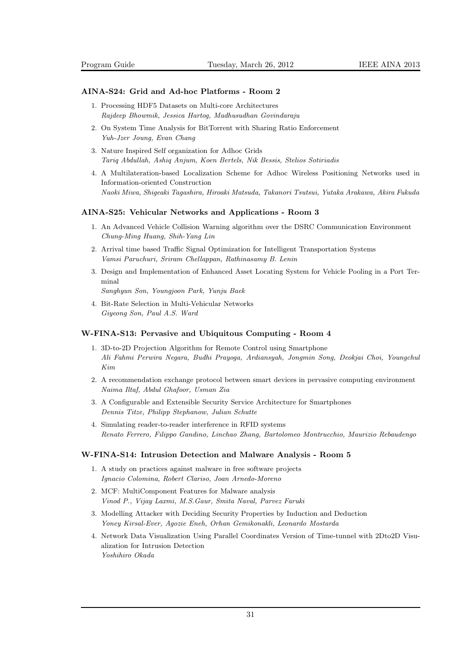#### <span id="page-31-0"></span>AINA-S24: Grid and Ad-hoc Platforms - Room 2

- 1. Processing HDF5 Datasets on Multi-core Architectures Rajdeep Bhowmik, Jessica Hartog, Madhusudhan Govindaraju
- 2. On System Time Analysis for BitTorrent with Sharing Ratio Enforcement Yuh-Jzer Joung, Evan Chang
- 3. Nature Inspired Self organization for Adhoc Grids Tariq Abdullah, Ashiq Anjum, Koen Bertels, Nik Bessis, Stelios Sotiriadis
- 4. A Multilateration-based Localization Scheme for Adhoc Wireless Positioning Networks used in Information-oriented Construction Naoki Miwa, Shigeaki Tagashira, Hiroaki Matsuda, Takanori Tsutsui, Yutaka Arakawa, Akira Fukuda

#### <span id="page-31-1"></span>AINA-S25: Vehicular Networks and Applications - Room 3

- 1. An Advanced Vehicle Collision Warning algorithm over the DSRC Communication Environment Chung-Ming Huang, Shih-Yang Lin
- 2. Arrival time based Traffic Signal Optimization for Intelligent Transportation Systems Vamsi Paruchuri, Sriram Chellappan, Rathinasamy B. Lenin
- 3. Design and Implementation of Enhanced Asset Locating System for Vehicle Pooling in a Port Terminal

Sanghyun Son, Youngjoon Park, Yunju Baek

4. Bit-Rate Selection in Multi-Vehicular Networks Giyeong Son, Paul A.S. Ward

#### <span id="page-31-2"></span>W-FINA-S13: Pervasive and Ubiquitous Computing - Room 4

- 1. 3D-to-2D Projection Algorithm for Remote Control using Smartphone Ali Fahmi Perwira Negara, Budhi Prayoga, Ardiansyah, Jongmin Song, Deokjai Choi, Youngchul Kim
- 2. A recommendation exchange protocol between smart devices in pervasive computing environment Naima Iltaf, Abdul Ghafoor, Usman Zia
- 3. A Configurable and Extensible Security Service Architecture for Smartphones Dennis Titze, Philipp Stephanow, Julian Schutte
- 4. Simulating reader-to-reader interference in RFID systems Renato Ferrero, Filippo Gandino, Linchao Zhang, Bartolomeo Montrucchio, Maurizio Rebaudengo

#### <span id="page-31-3"></span>W-FINA-S14: Intrusion Detection and Malware Analysis - Room 5

- 1. A study on practices against malware in free software projects Ignacio Colomina, Robert Clariso, Joan Arnedo-Moreno
- 2. MCF: MultiComponent Features for Malware analysis Vinod P., Vijay Laxmi, M.S.Gaur, Smita Naval, Parvez Faruki
- 3. Modelling Attacker with Deciding Security Properties by Induction and Deduction Yoney Kirsal-Ever, Agozie Eneh, Orhan Gemikonakli, Leonardo Mostarda
- 4. Network Data Visualization Using Parallel Coordinates Version of Time-tunnel with 2Dto2D Visualization for Intrusion Detection Yoshihiro Okada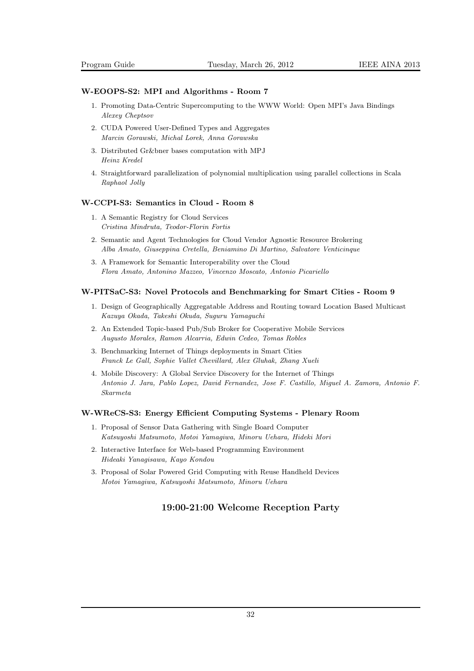#### <span id="page-32-0"></span>W-EOOPS-S2: MPI and Algorithms - Room 7

- 1. Promoting Data-Centric Supercomputing to the WWW World: Open MPI's Java Bindings Alexey Cheptsov
- 2. CUDA Powered User-Defined Types and Aggregates Marcin Gorawski, Michal Lorek, Anna Gorawska
- 3. Distributed Gr&bner bases computation with MPJ Heinz Kredel
- 4. Straightforward parallelization of polynomial multiplication using parallel collections in Scala Raphaol Jolly

#### <span id="page-32-1"></span>W-CCPI-S3: Semantics in Cloud - Room 8

- 1. A Semantic Registry for Cloud Services Cristina Mindruta, Teodor-Florin Fortis
- 2. Semantic and Agent Technologies for Cloud Vendor Agnostic Resource Brokering Alba Amato, Giuseppina Cretella, Beniamino Di Martino, Salvatore Venticinque
- 3. A Framework for Semantic Interoperability over the Cloud Flora Amato, Antonino Mazzeo, Vincenzo Moscato, Antonio Picariello

#### <span id="page-32-2"></span>W-PITSaC-S3: Novel Protocols and Benchmarking for Smart Cities - Room 9

- 1. Design of Geographically Aggregatable Address and Routing toward Location Based Multicast Kazuya Okada, Takeshi Okuda, Suguru Yamaguchi
- 2. An Extended Topic-based Pub/Sub Broker for Cooperative Mobile Services Augusto Morales, Ramon Alcarria, Edwin Cedeo, Tomas Robles
- 3. Benchmarking Internet of Things deployments in Smart Cities Franck Le Gall, Sophie Vallet Chevillard, Alex Gluhak, Zhang Xueli
- 4. Mobile Discovery: A Global Service Discovery for the Internet of Things Antonio J. Jara, Pablo Lopez, David Fernandez, Jose F. Castillo, Miguel A. Zamora, Antonio F. Skarmeta

#### <span id="page-32-3"></span>W-WReCS-S3: Energy Efficient Computing Systems - Plenary Room

- 1. Proposal of Sensor Data Gathering with Single Board Computer Katsuyoshi Matsumoto, Motoi Yamagiwa, Minoru Uehara, Hideki Mori
- 2. Interactive Interface for Web-based Programming Environment Hideaki Yanagisawa, Kayo Kondou
- <span id="page-32-4"></span>3. Proposal of Solar Powered Grid Computing with Reuse Handheld Devices Motoi Yamagiwa, Katsuyoshi Matsumoto, Minoru Uehara

# 19:00-21:00 Welcome Reception Party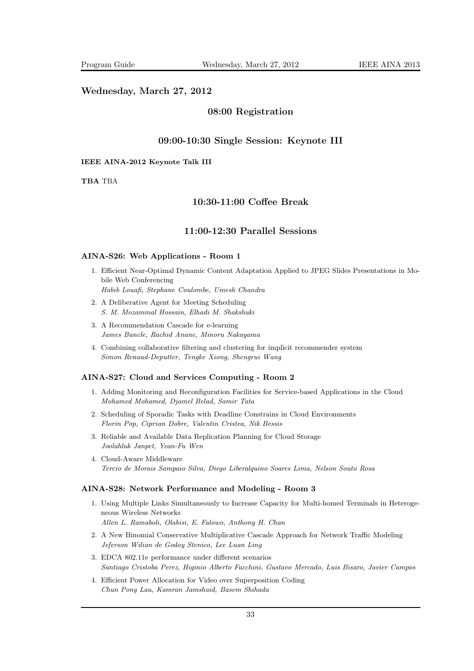# <span id="page-33-1"></span><span id="page-33-0"></span>Wednesday, March 27, 2012

# 08:00 Registration

#### 09:00-10:30 Single Session: Keynote III

#### <span id="page-33-2"></span>IEEE AINA-2012 Keynote Talk III

<span id="page-33-3"></span>TBA TBA

# 10:30-11:00 Coffee Break

# 11:00-12:30 Parallel Sessions

#### <span id="page-33-5"></span><span id="page-33-4"></span>AINA-S26: Web Applications - Room 1

- 1. Efficient Near-Optimal Dynamic Content Adaptation Applied to JPEG Slides Presentations in Mobile Web Conferencing Habib Louafi, Stephane Coulombe, Umesh Chandra
- 2. A Deliberative Agent for Meeting Scheduling S. M. Mozammal Hossain, Elhadi M. Shakshuki
- 3. A Recommendation Cascade for e-learning James Buncle, Rachid Anane, Minoru Nakayama
- 4. Combining collaborative filtering and clustering for implicit recommender system Simon Renaud-Deputter, Tengke Xiong, Shengrui Wang

#### <span id="page-33-6"></span>AINA-S27: Cloud and Services Computing - Room 2

- 1. Adding Monitoring and Reconfiguration Facilities for Service-based Applications in the Cloud Mohamed Mohamed, Djamel Belad, Samir Tata
- 2. Scheduling of Sporadic Tasks with Deadline Constrains in Cloud Environments Florin Pop, Ciprian Dobre, Valentin Cristea, Nik Bessis
- 3. Reliable and Available Data Replication Planning for Cloud Storage Joolahluk Janpet, Yean-Fu Wen
- 4. Cloud-Aware Middleware Tercio de Morais Sampaio Silva, Diego Liberalquino Soares Lima, Nelson Souto Rosa

#### <span id="page-33-7"></span>AINA-S28: Network Performance and Modeling - Room 3

- 1. Using Multiple Links Simultaneously to Increase Capacity for Multi-homed Terminals in Heterogeneous Wireless Networks Allen L. Ramaboli, Olabisi, E. Falowo, Anthony H. Chan
- 2. A New Binomial Conservative Multiplicative Cascade Approach for Network Traffic Modeling Jeferson Wilian de Godoy Stenico, Lee Luan Ling
- 3. EDCA 802.11e performance under different scenarios Santiago Cristoba Perez, Higinio Alberto Facchini, Gustavo Mercado, Luis Bisaro, Javier Campos
- 4. Efficient Power Allocation for Video over Superposition Coding Chun Pong Lau, Kamran Jamshaid, Basem Shihada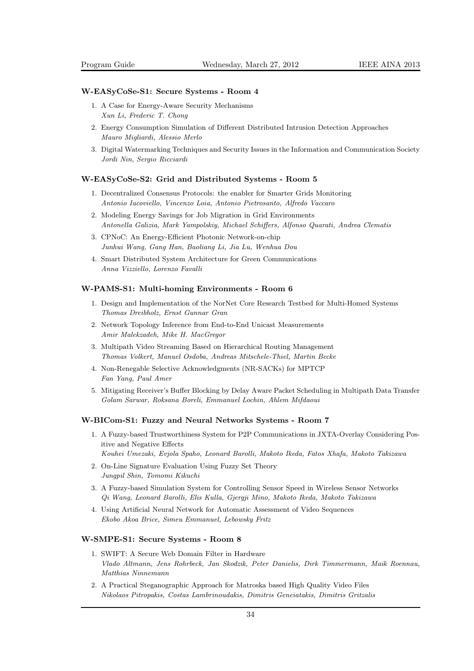#### <span id="page-34-0"></span>W-EASyCoSe-S1: Secure Systems - Room 4

- 1. A Case for Energy-Aware Security Mechanisms Xun Li, Frederic T. Chong
- 2. Energy Consumption Simulation of Different Distributed Intrusion Detection Approaches Mauro Migliardi, Alessio Merlo
- 3. Digital Watermarking Techniques and Security Issues in the Information and Communication Society Jordi Nin, Sergio Ricciardi

#### <span id="page-34-1"></span>W-EASyCoSe-S2: Grid and Distributed Systems - Room 5

- 1. Decentralized Consensus Protocols: the enabler for Smarter Grids Monitoring Antonio Iacoviello, Vincenzo Loia, Antonio Pietrosanto, Alfredo Vaccaro
- 2. Modeling Energy Savings for Job Migration in Grid Environments Antonella Galizia, Mark Yampolskiy, Michael Schiffers, Alfonso Quarati, Andrea Clematis
- 3. CPNoC: An Energy-Efficient Photonic Network-on-chip Junhui Wang, Gang Han, Baoliang Li, Jia Lu, Wenhua Dou
- 4. Smart Distributed System Architecture for Green Communications Anna Vizziello, Lorenzo Favalli

#### <span id="page-34-2"></span>W-PAMS-S1: Multi-homing Environments - Room 6

- 1. Design and Implementation of the NorNet Core Research Testbed for Multi-Homed Systems Thomas Dreibholz, Ernst Gunnar Gran
- 2. Network Topology Inference from End-to-End Unicast Measurements Amir Malekzadeh, Mike H. MacGregor
- 3. Multipath Video Streaming Based on Hierarchical Routing Management Thomas Volkert, Manuel Osdoba, Andreas Mitschele-Thiel, Martin Becke
- 4. Non-Renegable Selective Acknowledgments (NR-SACKs) for MPTCP Fan Yang, Paul Amer
- 5. Mitigating Receiver's Buffer Blocking by Delay Aware Packet Scheduling in Multipath Data Transfer Golam Sarwar, Roksana Boreli, Emmanuel Lochin, Ahlem Mifdaoui

#### <span id="page-34-3"></span>W-BICom-S1: Fuzzy and Neural Networks Systems - Room 7

- 1. A Fuzzy-based Trustworthiness System for P2P Communications in JXTA-Overlay Considering Positive and Negative Effects
	- Kouhei Umezaki, Evjola Spaho, Leonard Barolli, Makoto Ikeda, Fatos Xhafa, Makoto Takizawa
- 2. On-Line Signature Evaluation Using Fuzzy Set Theory Jungpil Shin, Tomomi Kikuchi
- 3. A Fuzzy-based Simulation System for Controlling Sensor Speed in Wireless Sensor Networks Qi Wang, Leonard Barolli, Elis Kulla, Gjergji Mino, Makoto Ikeda, Makoto Takizawa
- 4. Using Artificial Neural Network for Automatic Assessment of Video Sequences Ekobo Akoa Brice, Simeu Emmanuel, Lebowsky Fritz

#### <span id="page-34-4"></span>W-SMPE-S1: Secure Systems - Room 8

- 1. SWIFT: A Secure Web Domain Filter in Hardware Vlado Altmann, Jens Rohrbeck, Jan Skodzik, Peter Danielis, Dirk Timmermann, Maik Roennau, Matthias Ninnemann
- 2. A Practical Steganographic Approach for Matroska based High Quality Video Files Nikolaos Pitropakis, Costas Lambrinoudakis, Dimitris Geneiatakis, Dimitris Gritzalis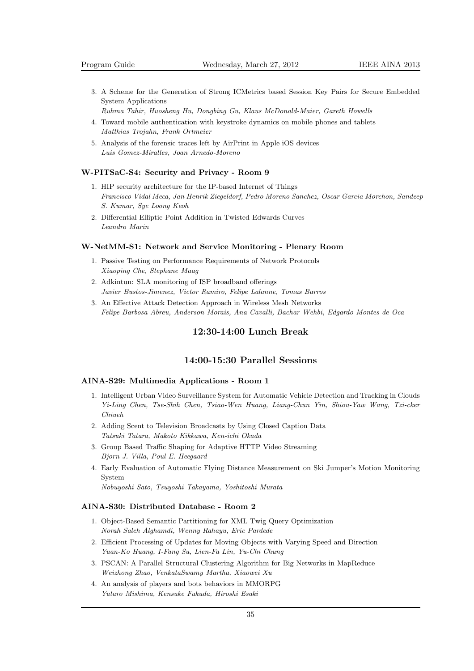- 3. A Scheme for the Generation of Strong ICMetrics based Session Key Pairs for Secure Embedded System Applications
	- Ruhma Tahir, Huosheng Hu, Dongbing Gu, Klaus McDonald-Maier, Gareth Howells
- 4. Toward mobile authentication with keystroke dynamics on mobile phones and tablets Matthias Trojahn, Frank Ortmeier
- 5. Analysis of the forensic traces left by AirPrint in Apple iOS devices Luis Gomez-Miralles, Joan Arnedo-Moreno

#### <span id="page-35-0"></span>W-PITSaC-S4: Security and Privacy - Room 9

- 1. HIP security architecture for the IP-based Internet of Things Francisco Vidal Meca, Jan Henrik Ziegeldorf, Pedro Moreno Sanchez, Oscar Garcia Morchon, Sandeep S. Kumar, Sye Loong Keoh
- 2. Differential Elliptic Point Addition in Twisted Edwards Curves Leandro Marin

#### <span id="page-35-1"></span>W-NetMM-S1: Network and Service Monitoring - Plenary Room

- 1. Passive Testing on Performance Requirements of Network Protocols Xiaoping Che, Stephane Maag
- 2. Adkintun: SLA monitoring of ISP broadband offerings Javier Bustos-Jimenez, Victor Ramiro, Felipe Lalanne, Tomas Barros
- <span id="page-35-2"></span>3. An Effective Attack Detection Approach in Wireless Mesh Networks Felipe Barbosa Abreu, Anderson Morais, Ana Cavalli, Bachar Wehbi, Edgardo Montes de Oca

# 12:30-14:00 Lunch Break

# 14:00-15:30 Parallel Sessions

#### <span id="page-35-4"></span><span id="page-35-3"></span>AINA-S29: Multimedia Applications - Room 1

- 1. Intelligent Urban Video Surveillance System for Automatic Vehicle Detection and Tracking in Clouds Yi-Ling Chen, Tse-Shih Chen, Tsiao-Wen Huang, Liang-Chun Yin, Shiou-Yaw Wang, Tzi-cker Chiueh
- 2. Adding Scent to Television Broadcasts by Using Closed Caption Data Tatsuki Tatara, Makoto Kikkawa, Ken-ichi Okada
- 3. Group Based Traffic Shaping for Adaptive HTTP Video Streaming Bjorn J. Villa, Poul E. Heegaard
- 4. Early Evaluation of Automatic Flying Distance Measurement on Ski Jumper's Motion Monitoring System

Nobuyoshi Sato, Tsuyoshi Takayama, Yoshitoshi Murata

#### <span id="page-35-5"></span>AINA-S30: Distributed Database - Room 2

- 1. Object-Based Semantic Partitioning for XML Twig Query Optimization Norah Saleh Alghamdi, Wenny Rahayu, Eric Pardede
- 2. Efficient Processing of Updates for Moving Objects with Varying Speed and Direction Yuan-Ko Huang, I-Fang Su, Lien-Fa Lin, Yu-Chi Chung
- 3. PSCAN: A Parallel Structural Clustering Algorithm for Big Networks in MapReduce Weizhong Zhao, VenkataSwamy Martha, Xiaowei Xu
- 4. An analysis of players and bots behaviors in MMORPG Yutaro Mishima, Kensuke Fukuda, Hiroshi Esaki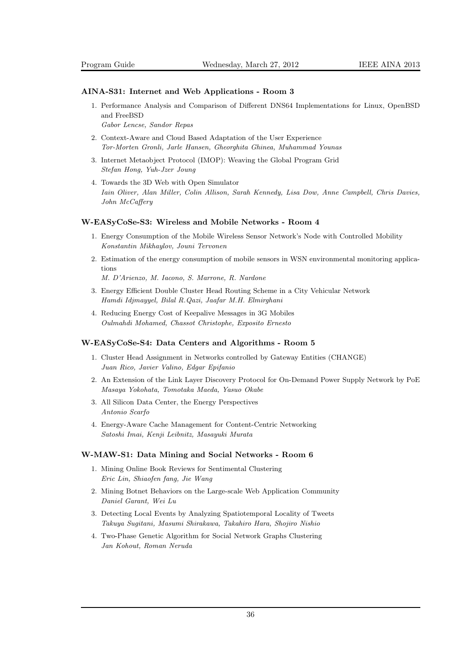#### <span id="page-36-0"></span>AINA-S31: Internet and Web Applications - Room 3

1. Performance Analysis and Comparison of Different DNS64 Implementations for Linux, OpenBSD and FreeBSD

Gabor Lencse, Sandor Repas

- 2. Context-Aware and Cloud Based Adaptation of the User Experience Tor-Morten Gronli, Jarle Hansen, Gheorghita Ghinea, Muhammad Younas
- 3. Internet Metaobject Protocol (IMOP): Weaving the Global Program Grid Stefan Hong, Yuh-Jzer Joung
- 4. Towards the 3D Web with Open Simulator Iain Oliver, Alan Miller, Colin Allison, Sarah Kennedy, Lisa Dow, Anne Campbell, Chris Davies, John McCaffery

#### <span id="page-36-1"></span>W-EASyCoSe-S3: Wireless and Mobile Networks - Room 4

- 1. Energy Consumption of the Mobile Wireless Sensor Network's Node with Controlled Mobility Konstantin Mikhaylov, Jouni Tervonen
- 2. Estimation of the energy consumption of mobile sensors in WSN environmental monitoring applications

M. D'Arienzo, M. Iacono, S. Marrone, R. Nardone

- 3. Energy Efficient Double Cluster Head Routing Scheme in a City Vehicular Network Hamdi Idjmayyel, Bilal R.Qazi, Jaafar M.H. Elmirghani
- 4. Reducing Energy Cost of Keepalive Messages in 3G Mobiles Oulmahdi Mohamed, Chassot Christophe, Exposito Ernesto

#### <span id="page-36-2"></span>W-EASyCoSe-S4: Data Centers and Algorithms - Room 5

- 1. Cluster Head Assignment in Networks controlled by Gateway Entities (CHANGE) Juan Rico, Javier Valino, Edgar Epifanio
- 2. An Extension of the Link Layer Discovery Protocol for On-Demand Power Supply Network by PoE Masaya Yokohata, Tomotaka Maeda, Yasuo Okabe
- 3. All Silicon Data Center, the Energy Perspectives Antonio Scarfo
- 4. Energy-Aware Cache Management for Content-Centric Networking Satoshi Imai, Kenji Leibnitz, Masayuki Murata

#### <span id="page-36-3"></span>W-MAW-S1: Data Mining and Social Networks - Room 6

- 1. Mining Online Book Reviews for Sentimental Clustering Eric Lin, Shiaofen fang, Jie Wang
- 2. Mining Botnet Behaviors on the Large-scale Web Application Community Daniel Garant, Wei Lu
- 3. Detecting Local Events by Analyzing Spatiotemporal Locality of Tweets Takuya Sugitani, Masumi Shirakawa, Takahiro Hara, Shojiro Nishio
- 4. Two-Phase Genetic Algorithm for Social Network Graphs Clustering Jan Kohout, Roman Neruda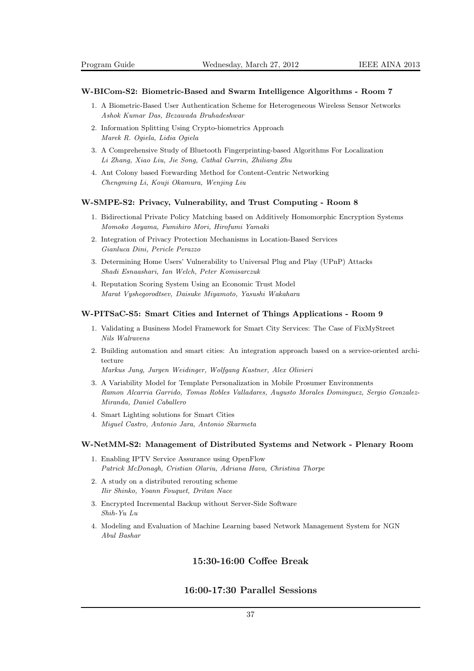#### <span id="page-37-0"></span>W-BICom-S2: Biometric-Based and Swarm Intelligence Algorithms - Room 7

- 1. A Biometric-Based User Authentication Scheme for Heterogeneous Wireless Sensor Networks Ashok Kumar Das, Bezawada Bruhadeshwar
- 2. Information Splitting Using Crypto-biometrics Approach Marek R. Ogiela, Lidia Ogiela
- 3. A Comprehensive Study of Bluetooth Fingerprinting-based Algorithms For Localization Li Zhang, Xiao Liu, Jie Song, Cathal Gurrin, Zhiliang Zhu
- 4. Ant Colony based Forwarding Method for Content-Centric Networking Chengming Li, Kouji Okamura, Wenjing Liu

#### <span id="page-37-1"></span>W-SMPE-S2: Privacy, Vulnerability, and Trust Computing - Room 8

- 1. Bidirectional Private Policy Matching based on Additively Homomorphic Encryption Systems Momoko Aoyama, Fumihiro Mori, Hirofumi Yamaki
- 2. Integration of Privacy Protection Mechanisms in Location-Based Services Gianluca Dini, Pericle Perazzo
- 3. Determining Home Users' Vulnerability to Universal Plug and Play (UPnP) Attacks Shadi Esnaashari, Ian Welch, Peter Komisarczuk
- 4. Reputation Scoring System Using an Economic Trust Model Marat Vyshegorodtsev, Daisuke Miyamoto, Yasushi Wakahara

#### <span id="page-37-2"></span>W-PITSaC-S5: Smart Cities and Internet of Things Applications - Room 9

- 1. Validating a Business Model Framework for Smart City Services: The Case of FixMyStreet Nils Walravens
- 2. Building automation and smart cities: An integration approach based on a service-oriented architecture

Markus Jung, Jurgen Weidinger, Wolfgang Kastner, Alex Olivieri

- 3. A Variability Model for Template Personalization in Mobile Prosumer Environments Ramon Alcarria Garrido, Tomas Robles Valladares, Augusto Morales Dominguez, Sergio Gonzalez-Miranda, Daniel Caballero
- 4. Smart Lighting solutions for Smart Cities Miguel Castro, Antonio Jara, Antonio Skarmeta

#### <span id="page-37-3"></span>W-NetMM-S2: Management of Distributed Systems and Network - Plenary Room

- 1. Enabling IPTV Service Assurance using OpenFlow Patrick McDonagh, Cristian Olariu, Adriana Hava, Christina Thorpe
- 2. A study on a distributed rerouting scheme Ilir Shinko, Yoann Fouquet, Dritan Nace
- 3. Encrypted Incremental Backup without Server-Side Software Shih-Yu Lu
- <span id="page-37-5"></span><span id="page-37-4"></span>4. Modeling and Evaluation of Machine Learning based Network Management System for NGN Abul Bashar

# 15:30-16:00 Coffee Break

# 16:00-17:30 Parallel Sessions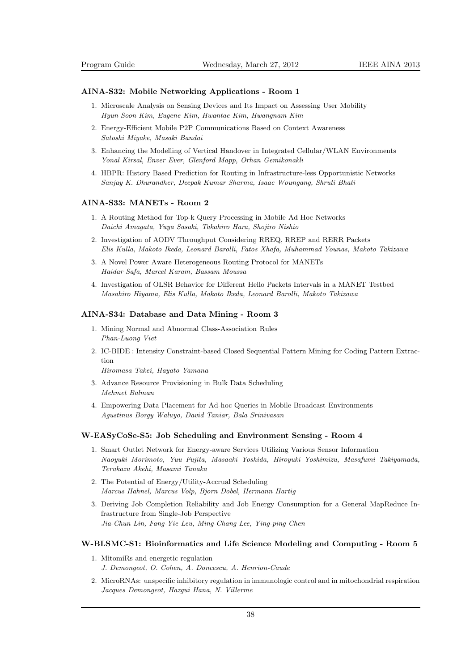#### <span id="page-38-0"></span>AINA-S32: Mobile Networking Applications - Room 1

- 1. Microscale Analysis on Sensing Devices and Its Impact on Assessing User Mobility Hyun Soon Kim, Eugene Kim, Hwantae Kim, Hwangnam Kim
- 2. Energy-Efficient Mobile P2P Communications Based on Context Awareness Satoshi Miyake, Masaki Bandai
- 3. Enhancing the Modelling of Vertical Handover in Integrated Cellular/WLAN Environments Yonal Kirsal, Enver Ever, Glenford Mapp, Orhan Gemikonakli
- 4. HBPR: History Based Prediction for Routing in Infrastructure-less Opportunistic Networks Sanjay K. Dhurandher, Deepak Kumar Sharma, Isaac Woungang, Shruti Bhati

#### <span id="page-38-1"></span>AINA-S33: MANETs - Room 2

- 1. A Routing Method for Top-k Query Processing in Mobile Ad Hoc Networks Daichi Amagata, Yuya Sasaki, Takahiro Hara, Shojiro Nishio
- 2. Investigation of AODV Throughput Considering RREQ, RREP and RERR Packets Elis Kulla, Makoto Ikeda, Leonard Barolli, Fatos Xhafa, Muhammad Younas, Makoto Takizawa
- 3. A Novel Power Aware Heterogeneous Routing Protocol for MANETs Haidar Safa, Marcel Karam, Bassam Moussa
- 4. Investigation of OLSR Behavior for Different Hello Packets Intervals in a MANET Testbed Masahiro Hiyama, Elis Kulla, Makoto Ikeda, Leonard Barolli, Makoto Takizawa

#### <span id="page-38-2"></span>AINA-S34: Database and Data Mining - Room 3

- 1. Mining Normal and Abnormal Class-Association Rules Phan-Luong Viet
- 2. IC-BIDE : Intensity Constraint-based Closed Sequential Pattern Mining for Coding Pattern Extraction

Hiromasa Takei, Hayato Yamana

- 3. Advance Resource Provisioning in Bulk Data Scheduling Mehmet Balman
- 4. Empowering Data Placement for Ad-hoc Queries in Mobile Broadcast Environments Agustinus Borgy Waluyo, David Taniar, Bala Srinivasan

#### <span id="page-38-3"></span>W-EASyCoSe-S5: Job Scheduling and Environment Sensing - Room 4

- 1. Smart Outlet Network for Energy-aware Services Utilizing Various Sensor Information Naoyuki Morimoto, Yuu Fujita, Masaaki Yoshida, Hiroyuki Yoshimizu, Masafumi Takiyamada, Terukazu Akehi, Masami Tanaka
- 2. The Potential of Energy/Utility-Accrual Scheduling Marcus Hahnel, Marcus Volp, Bjorn Dobel, Hermann Hartig
- 3. Deriving Job Completion Reliability and Job Energy Consumption for a General MapReduce Infrastructure from Single-Job Perspective Jia-Chun Lin, Fang-Yie Leu, Ming-Chang Lee, Ying-ping Chen

#### <span id="page-38-4"></span>W-BLSMC-S1: Bioinformatics and Life Science Modeling and Computing - Room 5

- 1. MitomiRs and energetic regulation J. Demongeot, O. Cohen, A. Doncescu, A. Henrion-Caude
- 2. MicroRNAs: unspecific inhibitory regulation in immunologic control and in mitochondrial respiration Jacques Demongeot, Hazgui Hana, N. Villerme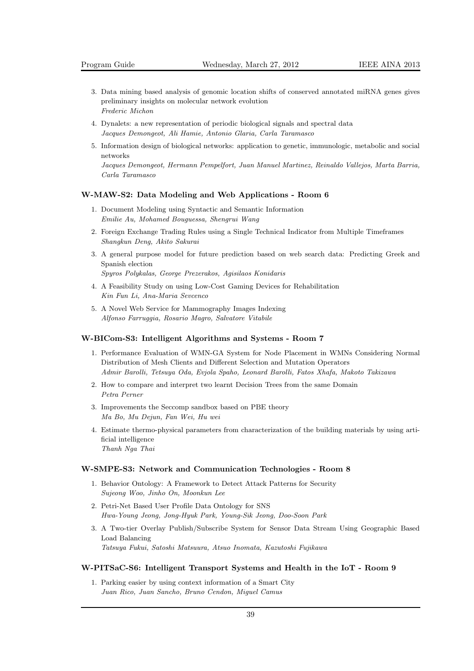- 3. Data mining based analysis of genomic location shifts of conserved annotated miRNA genes gives preliminary insights on molecular network evolution Frederic Michon
- 4. Dynalets: a new representation of periodic biological signals and spectral data Jacques Demongeot, Ali Hamie, Antonio Glaria, Carla Taramasco
- 5. Information design of biological networks: application to genetic, immunologic, metabolic and social networks

Jacques Demongeot, Hermann Pempelfort, Juan Manuel Martinez, Reinaldo Vallejos, Marta Barria, Carla Taramasco

#### <span id="page-39-0"></span>W-MAW-S2: Data Modeling and Web Applications - Room 6

- 1. Document Modeling using Syntactic and Semantic Information Emilie Au, Mohamed Bouguessa, Shengrui Wang
- 2. Foreign Exchange Trading Rules using a Single Technical Indicator from Multiple Timeframes Shangkun Deng, Akito Sakurai
- 3. A general purpose model for future prediction based on web search data: Predicting Greek and Spanish election Spyros Polykalas, George Prezerakos, Agisilaos Konidaris
- 4. A Feasibility Study on using Low-Cost Gaming Devices for Rehabilitation Kin Fun Li, Ana-Maria Sevcenco
- 5. A Novel Web Service for Mammography Images Indexing Alfonso Farruggia, Rosario Magro, Salvatore Vitabile

#### <span id="page-39-1"></span>W-BICom-S3: Intelligent Algorithms and Systems - Room 7

- 1. Performance Evaluation of WMN-GA System for Node Placement in WMNs Considering Normal Distribution of Mesh Clients and Different Selection and Mutation Operators Admir Barolli, Tetsuya Oda, Evjola Spaho, Leonard Barolli, Fatos Xhafa, Makoto Takizawa
- 2. How to compare and interpret two learnt Decision Trees from the same Domain Petra Perner
- 3. Improvements the Seccomp sandbox based on PBE theory Ma Bo, Mu Dejun, Fan Wei, Hu wei
- 4. Estimate thermo-physical parameters from characterization of the building materials by using artificial intelligence Thanh Nga Thai

#### <span id="page-39-2"></span>W-SMPE-S3: Network and Communication Technologies - Room 8

- 1. Behavior Ontology: A Framework to Detect Attack Patterns for Security Sujeong Woo, Jinho On, Moonkun Lee
- 2. Petri-Net Based User Profile Data Ontology for SNS Hwa-Young Jeong, Jong-Hyuk Park, Young-Sik Jeong, Doo-Soon Park
- 3. A Two-tier Overlay Publish/Subscribe System for Sensor Data Stream Using Geographic Based Load Balancing Tatsuya Fukui, Satoshi Matsuura, Atsuo Inomata, Kazutoshi Fujikawa

#### <span id="page-39-3"></span>W-PITSaC-S6: Intelligent Transport Systems and Health in the IoT - Room 9

1. Parking easier by using context information of a Smart City Juan Rico, Juan Sancho, Bruno Cendon, Miguel Camus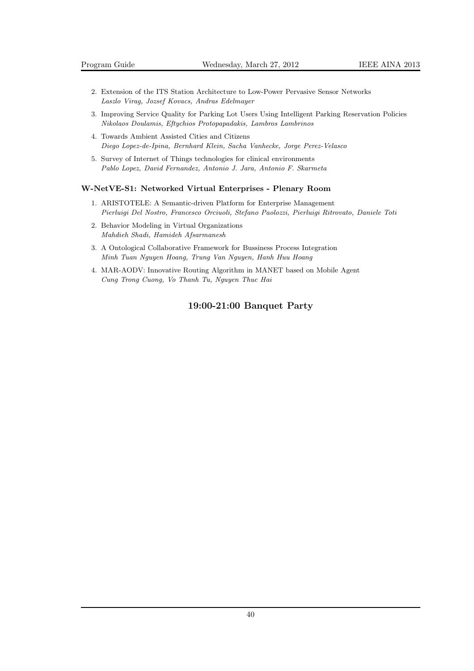- 2. Extension of the ITS Station Architecture to Low-Power Pervasive Sensor Networks Laszlo Virag, Jozsef Kovacs, Andras Edelmayer
- 3. Improving Service Quality for Parking Lot Users Using Intelligent Parking Reservation Policies Nikolaos Doulamis, Eftychios Protopapadakis, Lambros Lambrinos
- 4. Towards Ambient Assisted Cities and Citizens Diego Lopez-de-Ipina, Bernhard Klein, Sacha Vanhecke, Jorge Perez-Velasco
- 5. Survey of Internet of Things technologies for clinical environments Pablo Lopez, David Fernandez, Antonio J. Jara, Antonio F. Skarmeta

#### <span id="page-40-0"></span>W-NetVE-S1: Networked Virtual Enterprises - Plenary Room

- 1. ARISTOTELE: A Semantic-driven Platform for Enterprise Management Pierluigi Del Nostro, Francesco Orciuoli, Stefano Paolozzi, Pierluigi Ritrovato, Daniele Toti
- 2. Behavior Modeling in Virtual Organizations Mahdieh Shadi, Hamideh Afsarmanesh
- 3. A Ontological Collaborative Framework for Bussiness Process Integration Minh Tuan Nguyen Hoang, Trung Van Nguyen, Hanh Huu Hoang
- <span id="page-40-1"></span>4. MAR-AODV: Innovative Routing Algorithm in MANET based on Mobile Agent Cung Trong Cuong, Vo Thanh Tu, Nguyen Thuc Hai

# 19:00-21:00 Banquet Party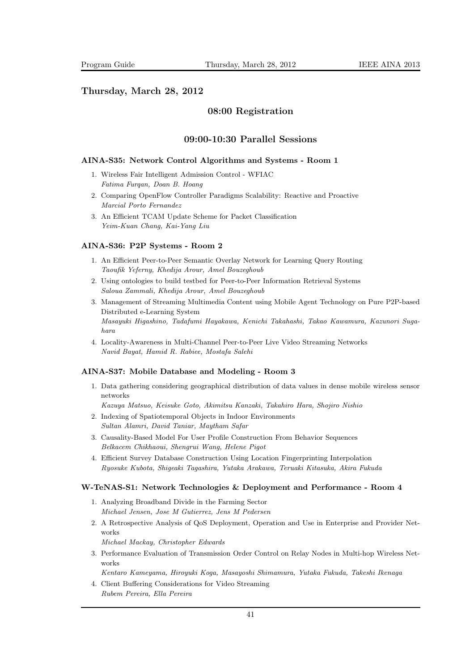# <span id="page-41-1"></span><span id="page-41-0"></span>Thursday, March 28, 2012

# 08:00 Registration

# 09:00-10:30 Parallel Sessions

#### <span id="page-41-3"></span><span id="page-41-2"></span>AINA-S35: Network Control Algorithms and Systems - Room 1

- 1. Wireless Fair Intelligent Admission Control WFIAC Fatima Furqan, Doan B. Hoang
- 2. Comparing OpenFlow Controller Paradigms Scalability: Reactive and Proactive Marcial Porto Fernandez
- 3. An Efficient TCAM Update Scheme for Packet Classification Yeim-Kuan Chang, Kai-Yang Liu

#### <span id="page-41-4"></span>AINA-S36: P2P Systems - Room 2

- 1. An Efficient Peer-to-Peer Semantic Overlay Network for Learning Query Routing Taoufik Yeferny, Khedija Arour, Amel Bouzeghoub
- 2. Using ontologies to build testbed for Peer-to-Peer Information Retrieval Systems Saloua Zammali, Khedija Arour, Amel Bouzeghoub
- 3. Management of Streaming Multimedia Content using Mobile Agent Technology on Pure P2P-based Distributed e-Learning System Masayuki Higashino, Tadafumi Hayakawa, Kenichi Takahashi, Takao Kawamura, Kazunori Sugahara
- 4. Locality-Awareness in Multi-Channel Peer-to-Peer Live Video Streaming Networks Navid Bayat, Hamid R. Rabiee, Mostafa Salehi

#### <span id="page-41-5"></span>AINA-S37: Mobile Database and Modeling - Room 3

- 1. Data gathering considering geographical distribution of data values in dense mobile wireless sensor networks
	- Kazuya Matsuo, Keisuke Goto, Akimitsu Kanzaki, Takahiro Hara, Shojiro Nishio
- 2. Indexing of Spatiotemporal Objects in Indoor Environments Sultan Alamri, David Taniar, Maytham Safar
- 3. Causality-Based Model For User Profile Construction From Behavior Sequences Belkacem Chikhaoui, Shengrui Wang, Helene Pigot
- 4. Efficient Survey Database Construction Using Location Fingerprinting Interpolation Ryosuke Kubota, Shigeaki Tagashira, Yutaka Arakawa, Teruaki Kitasuka, Akira Fukuda

#### <span id="page-41-6"></span>W-TeNAS-S1: Network Technologies & Deployment and Performance - Room 4

- 1. Analyzing Broadband Divide in the Farming Sector Michael Jensen, Jose M Gutierrez, Jens M Pedersen
- 2. A Retrospective Analysis of QoS Deployment, Operation and Use in Enterprise and Provider Networks

Michael Mackay, Christopher Edwards

3. Performance Evaluation of Transmission Order Control on Relay Nodes in Multi-hop Wireless Networks

Kentaro Kameyama, Hiroyuki Koga, Masayoshi Shimamura, Yutaka Fukuda, Takeshi Ikenaga

4. Client Buffering Considerations for Video Streaming Rubem Pereira, Ella Pereira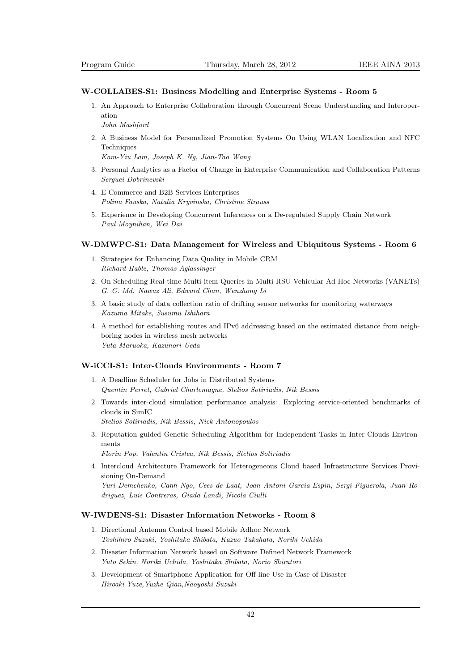#### <span id="page-42-0"></span>W-COLLABES-S1: Business Modelling and Enterprise Systems - Room 5

1. An Approach to Enterprise Collaboration through Concurrent Scene Understanding and Interoperation John Mashford

2. A Business Model for Personalized Promotion Systems On Using WLAN Localization and NFC Techniques

Kam-Yiu Lam, Joseph K. Ng, Jian-Tao Wang

- 3. Personal Analytics as a Factor of Change in Enterprise Communication and Collaboration Patterns Serguei Dobrinevski
- 4. E-Commerce and B2B Services Enterprises Polina Fauska, Natalia Kryvinska, Christine Strauss
- 5. Experience in Developing Concurrent Inferences on a De-regulated Supply Chain Network Paul Moynihan, Wei Dai

#### <span id="page-42-1"></span>W-DMWPC-S1: Data Management for Wireless and Ubiquitous Systems - Room 6

- 1. Strategies for Enhancing Data Quality in Mobile CRM Richard Hable, Thomas Aglassinger
- 2. On Scheduling Real-time Multi-item Queries in Multi-RSU Vehicular Ad Hoc Networks (VANETs) G. G. Md. Nawaz Ali, Edward Chan, Wenzhong Li
- 3. A basic study of data collection ratio of drifting sensor networks for monitoring waterways Kazuma Mitake, Susumu Ishihara
- 4. A method for establishing routes and IPv6 addressing based on the estimated distance from neighboring nodes in wireless mesh networks Yuta Maruoka, Kazunori Ueda

#### <span id="page-42-2"></span>W-iCCI-S1: Inter-Clouds Environments - Room 7

- 1. A Deadline Scheduler for Jobs in Distributed Systems Quentin Perret, Gabriel Charlemagne, Stelios Sotiriadis, Nik Bessis
- 2. Towards inter-cloud simulation performance analysis: Exploring service-oriented benchmarks of clouds in SimIC

Stelios Sotiriadis, Nik Bessis, Nick Antonopoulos

3. Reputation guided Genetic Scheduling Algorithm for Independent Tasks in Inter-Clouds Environments

Florin Pop, Valentin Cristea, Nik Bessis, Stelios Sotiriadis

4. Intercloud Architecture Framework for Heterogeneous Cloud based Infrastructure Services Provisioning On-Demand

Yuri Demchenko, Canh Ngo, Cees de Laat, Joan Antoni Garcia-Espin, Sergi Figuerola, Juan Rodriguez, Luis Contreras, Giada Landi, Nicola Ciulli

#### <span id="page-42-3"></span>W-IWDENS-S1: Disaster Information Networks - Room 8

- 1. Directional Antenna Control based Mobile Adhoc Network Toshihiro Suzuki, Yoshitaka Shibata, Kazuo Takahata, Noriki Uchida
- 2. Disaster Information Network based on Software Defined Network Framework Yuto Sekin, Noriki Uchida, Yoshitaka Shibata, Norio Shiratori
- 3. Development of Smartphone Application for Off-line Use in Case of Disaster Hiroaki Yuze,Yuzhe Qian,Naoyoshi Suzuki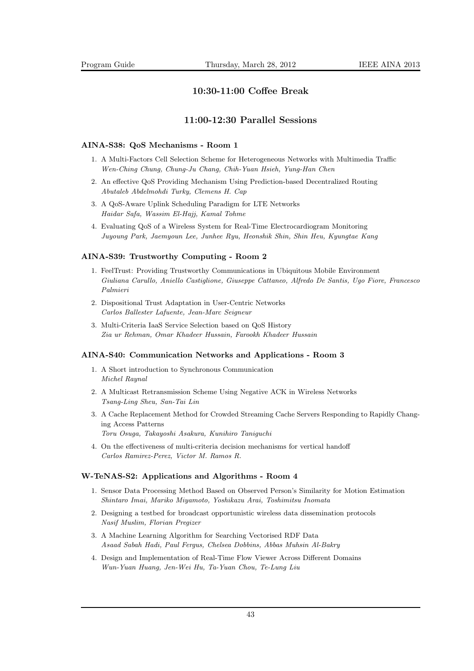# 10:30-11:00 Coffee Break

# 11:00-12:30 Parallel Sessions

#### <span id="page-43-2"></span><span id="page-43-1"></span><span id="page-43-0"></span>AINA-S38: QoS Mechanisms - Room 1

- 1. A Multi-Factors Cell Selection Scheme for Heterogeneous Networks with Multimedia Traffic Wen-Ching Chung, Chung-Ju Chang, Chih-Yuan Hsieh, Yung-Han Chen
- 2. An effective QoS Providing Mechanism Using Prediction-based Decentralized Routing Abutaleb Abdelmohdi Turky, Clemens H. Cap
- 3. A QoS-Aware Uplink Scheduling Paradigm for LTE Networks Haidar Safa, Wassim El-Hajj, Kamal Tohme
- 4. Evaluating QoS of a Wireless System for Real-Time Electrocardiogram Monitoring Juyoung Park, Jaemyoun Lee, Junhee Ryu, Heonshik Shin, Shin Heu, Kyungtae Kang

#### <span id="page-43-3"></span>AINA-S39: Trustworthy Computing - Room 2

- 1. FeelTrust: Providing Trustworthy Communications in Ubiquitous Mobile Environment Giuliana Carullo, Aniello Castiglione, Giuseppe Cattaneo, Alfredo De Santis, Ugo Fiore, Francesco Palmieri
- 2. Dispositional Trust Adaptation in User-Centric Networks Carlos Ballester Lafuente, Jean-Marc Seigneur
- 3. Multi-Criteria IaaS Service Selection based on QoS History Zia ur Rehman, Omar Khadeer Hussain, Farookh Khadeer Hussain

#### <span id="page-43-4"></span>AINA-S40: Communication Networks and Applications - Room 3

- 1. A Short introduction to Synchronous Communication Michel Raynal
- 2. A Multicast Retransmission Scheme Using Negative ACK in Wireless Networks Tsang-Ling Sheu, San-Tai Lin
- 3. A Cache Replacement Method for Crowded Streaming Cache Servers Responding to Rapidly Changing Access Patterns
	- Toru Osuga, Takayoshi Asakura, Kunihiro Taniguchi
- 4. On the effectiveness of multi-criteria decision mechanisms for vertical handoff Carlos Ramirez-Perez, Victor M. Ramos R.

#### <span id="page-43-5"></span>W-TeNAS-S2: Applications and Algorithms - Room 4

- 1. Sensor Data Processing Method Based on Observed Person's Similarity for Motion Estimation Shintaro Imai, Mariko Miyamoto, Yoshikazu Arai, Toshimitsu Inomata
- 2. Designing a testbed for broadcast opportunistic wireless data dissemination protocols Nasif Muslim, Florian Pregizer
- 3. A Machine Learning Algorithm for Searching Vectorised RDF Data Asaad Sabah Hadi, Paul Fergus, Chelsea Dobbins, Abbas Muhsin Al-Bakry
- 4. Design and Implementation of Real-Time Flow Viewer Across Different Domains Wun-Yuan Huang, Jen-Wei Hu, Ta-Yuan Chou, Te-Lung Liu